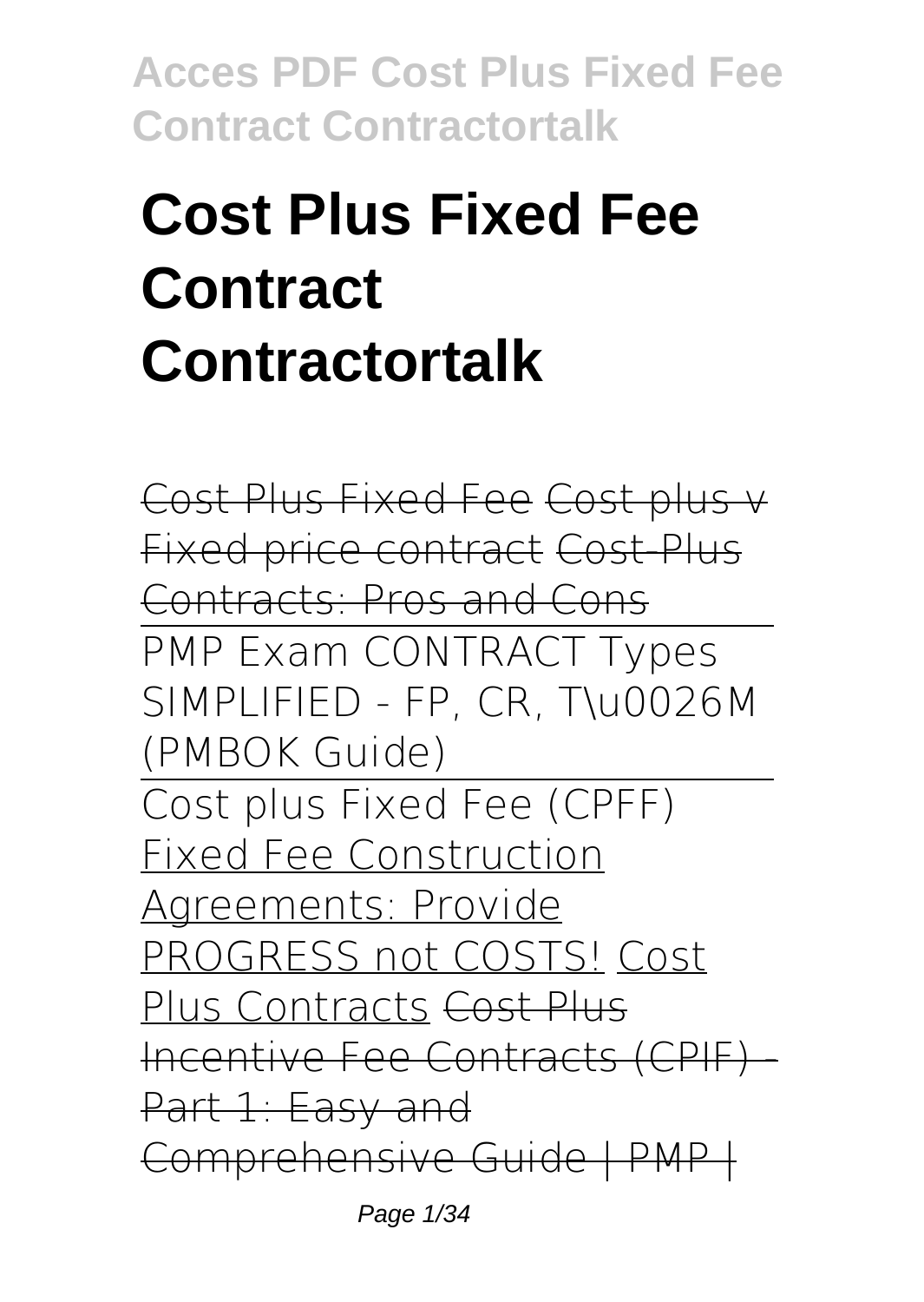# **Cost Plus Fixed Fee Contract Contractortalk**

Cost Plus Fixed Fee Cost plus v Fixed price contract Cost-Plus Contracts: Pros and Cons PMP Exam CONTRACT Types SIMPLIFIED - FP, CR, T\u0026M (PMBOK Guide) Cost plus Fixed Fee (CPFF) Fixed Fee Construction Agreements: Provide PROGRESS not COSTS! Cost Plus Contracts Cost Plus Incentive Fee Contracts (CPIF) - Part 1: Easy and Comprehensive Guide | PMP |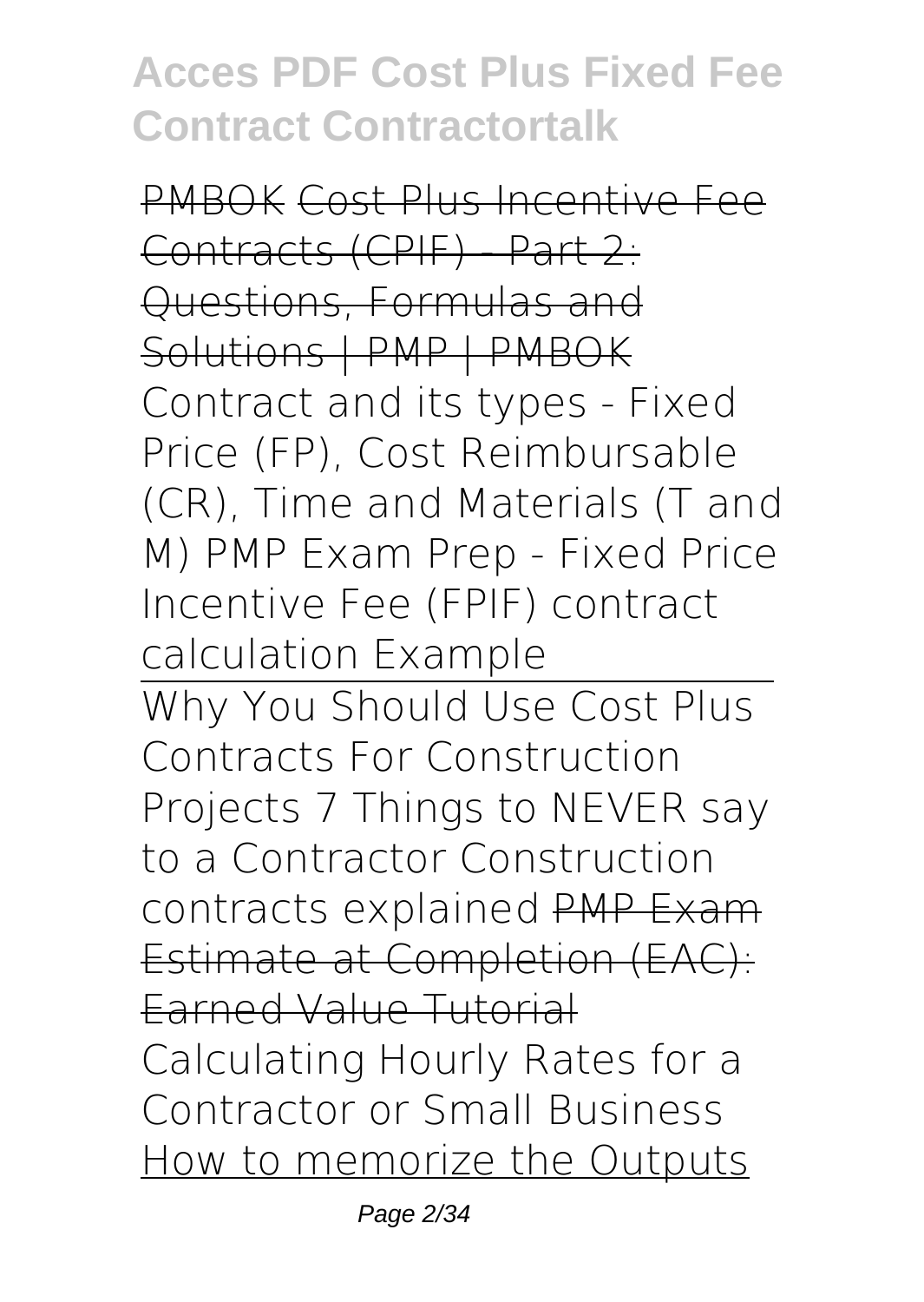PMBOK Cost Plus Incentive Fee Contracts (CPIF) - Part 2: Questions, Formulas and Solutions | PMP | PMBOK Contract and its types - Fixed Price (FP), Cost Reimbursable (CR), Time and Materials (T and M) **PMP Exam Prep - Fixed Price Incentive Fee (FPIF) contract calculation Example** Why You Should Use Cost Plus Contracts For Construction Projects 7 Things to NEVER say to a Contractor **Construction contracts explained** PMP Exam Estimate at Completion (EAC): Earned Value Tutorial **Calculating Hourly Rates for a Contractor or Small Business** How to memorize the Outputs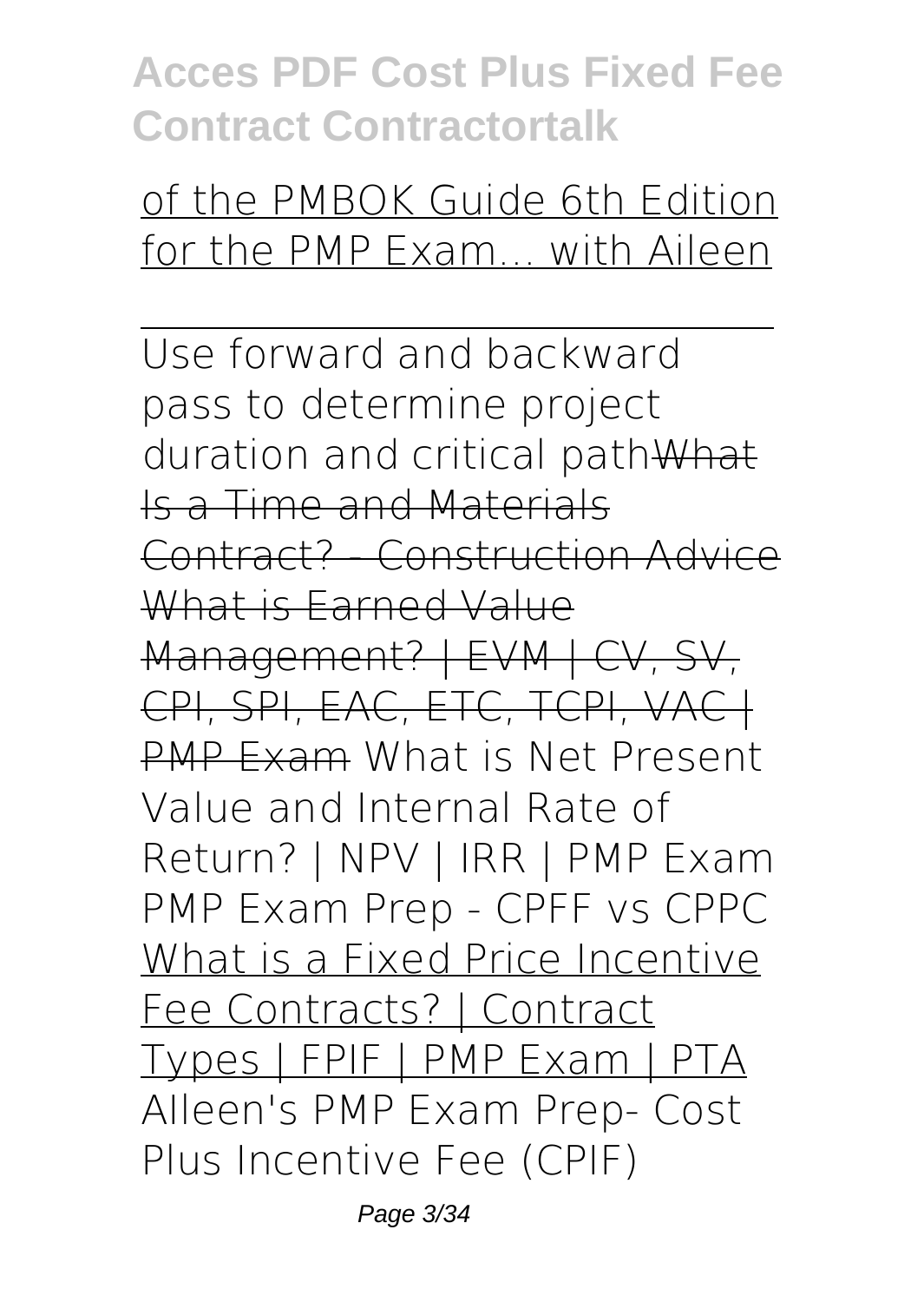#### of the PMBOK Guide 6th Edition for the PMP Exam... with Aileen

Use forward and backward pass to determine project duration and critical pathWhat Is a Time and Materials Contract? - Construction Advice What is Earned Value Management? | EVM | CV, SV, CPI, SPI, EAC, ETC, TCPI, VACH PMP Exam What is Net Present Value and Internal Rate of Return? | NPV | IRR | PMP Exam *PMP Exam Prep - CPFF vs CPPC* What is a Fixed Price Incentive Fee Contracts? | Contract Types | FPIF | PMP Exam | PTA *AIleen's PMP Exam Prep- Cost Plus Incentive Fee (CPIF)*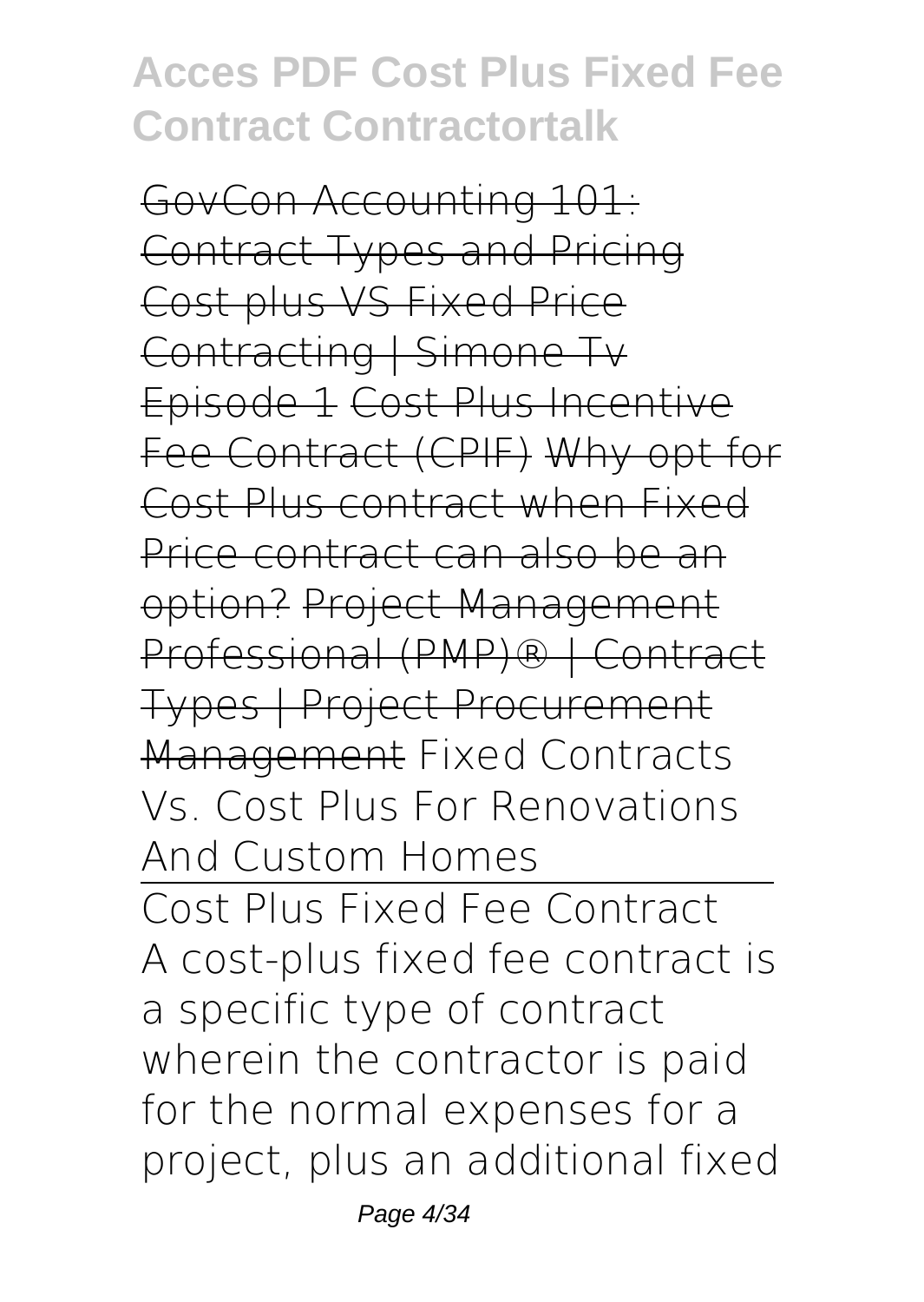GovCon Accounting 101: Contract Types and Pricing Cost plus VS Fixed Price Contracting | Simone Tv Episode 1 Cost Plus Incentive Fee Contract (CPIF) Why opt for Cost Plus contract when Fixed Price contract can also be an option? Project Management Professional (PMP)® | Contract Types | Project Procurement Management *Fixed Contracts Vs. Cost Plus For Renovations And Custom Homes*

Cost Plus Fixed Fee Contract A cost-plus fixed fee contract is a specific type of contract wherein the contractor is paid for the normal expenses for a project, plus an additional fixed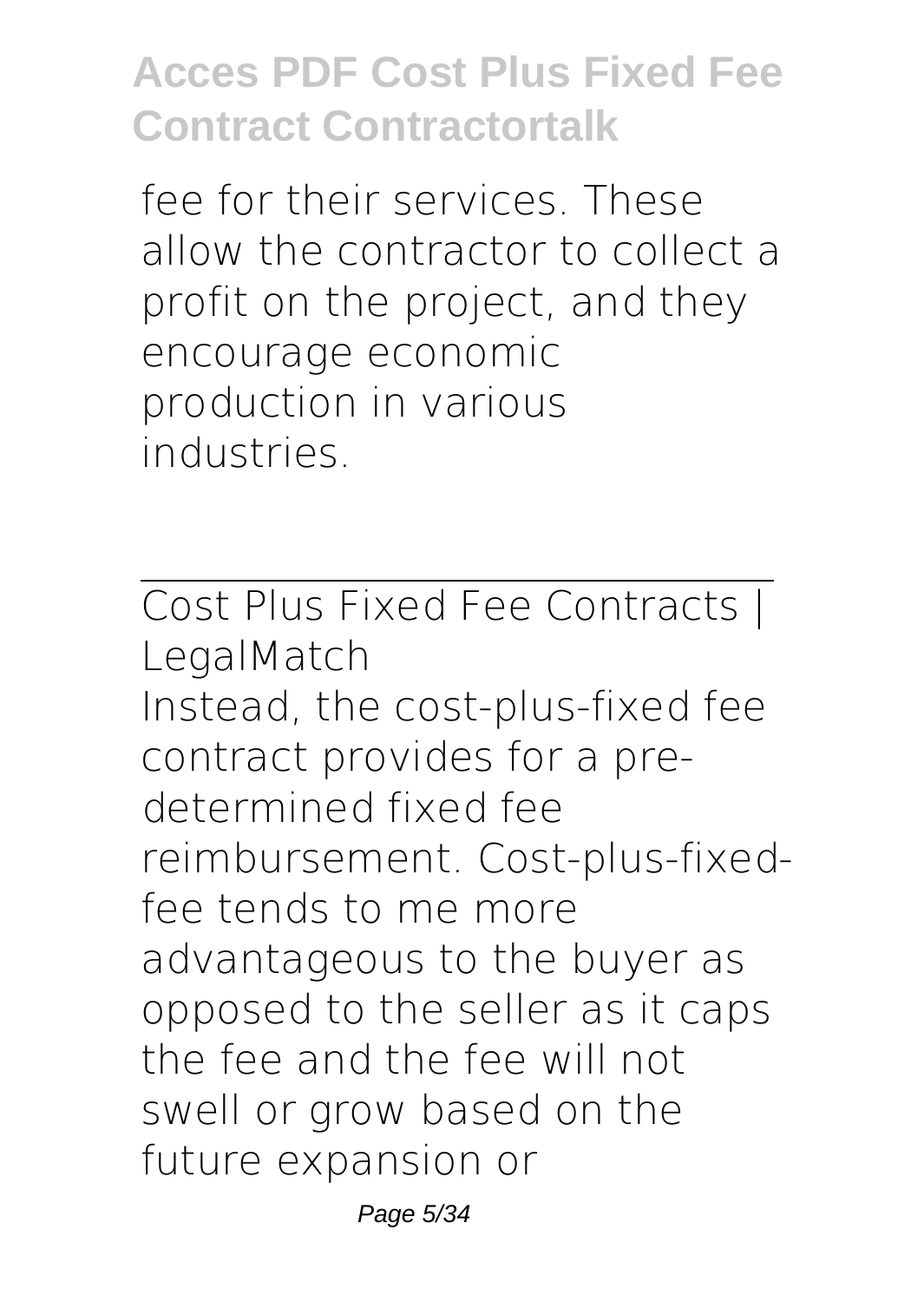fee for their services. These allow the contractor to collect a profit on the project, and they encourage economic production in various industries.

Cost Plus Fixed Fee Contracts | LegalMatch Instead, the cost-plus-fixed fee contract provides for a predetermined fixed fee reimbursement. Cost-plus-fixedfee tends to me more advantageous to the buyer as opposed to the seller as it caps the fee and the fee will not swell or grow based on the future expansion or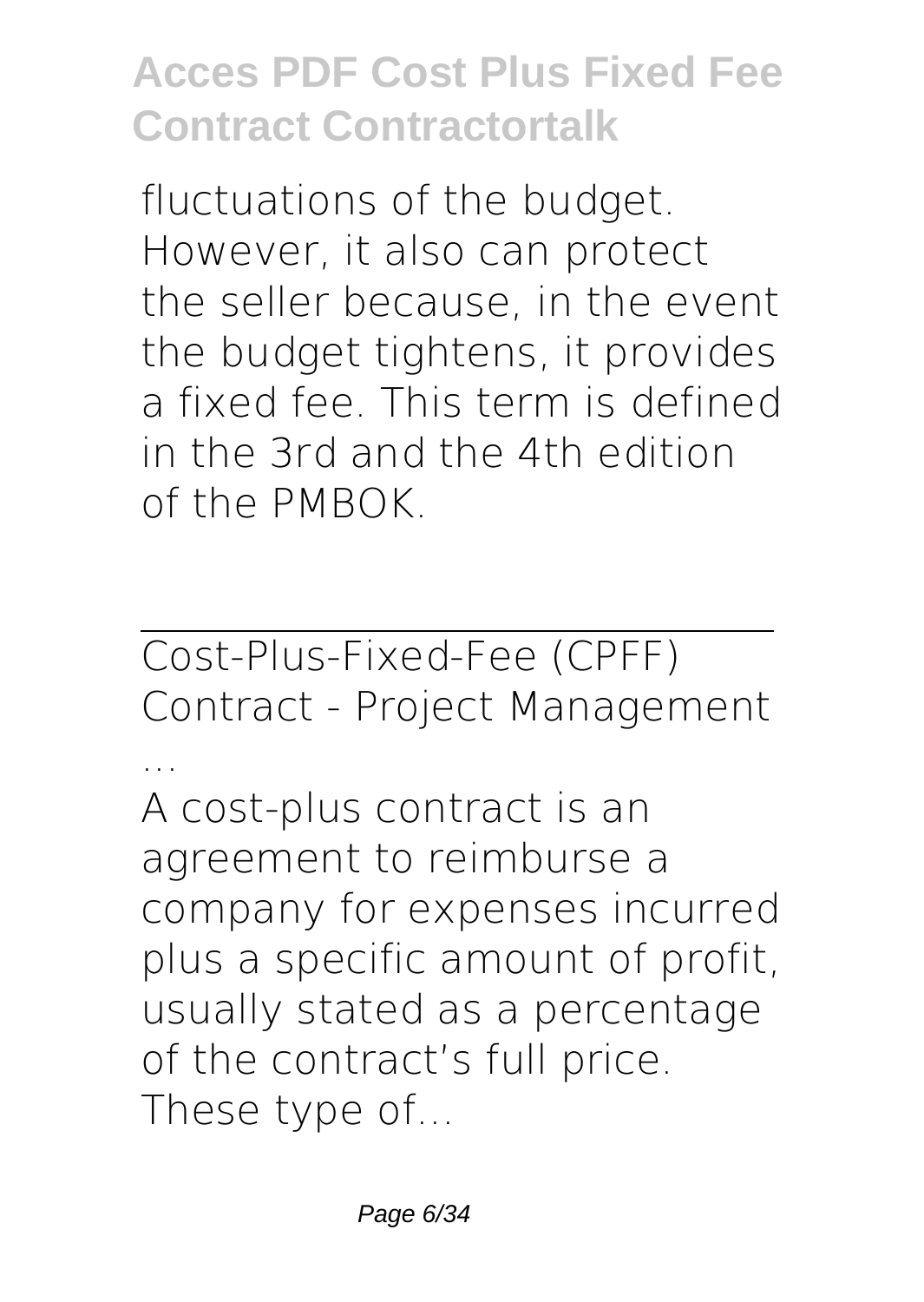fluctuations of the budget. However, it also can protect the seller because, in the event the budget tightens, it provides a fixed fee. This term is defined in the 3rd and the 4th edition of the PMBOK.

Cost-Plus-Fixed-Fee (CPFF) Contract - Project Management

... A cost-plus contract is an agreement to reimburse a company for expenses incurred plus a specific amount of profit, usually stated as a percentage of the contract's full price. These type of...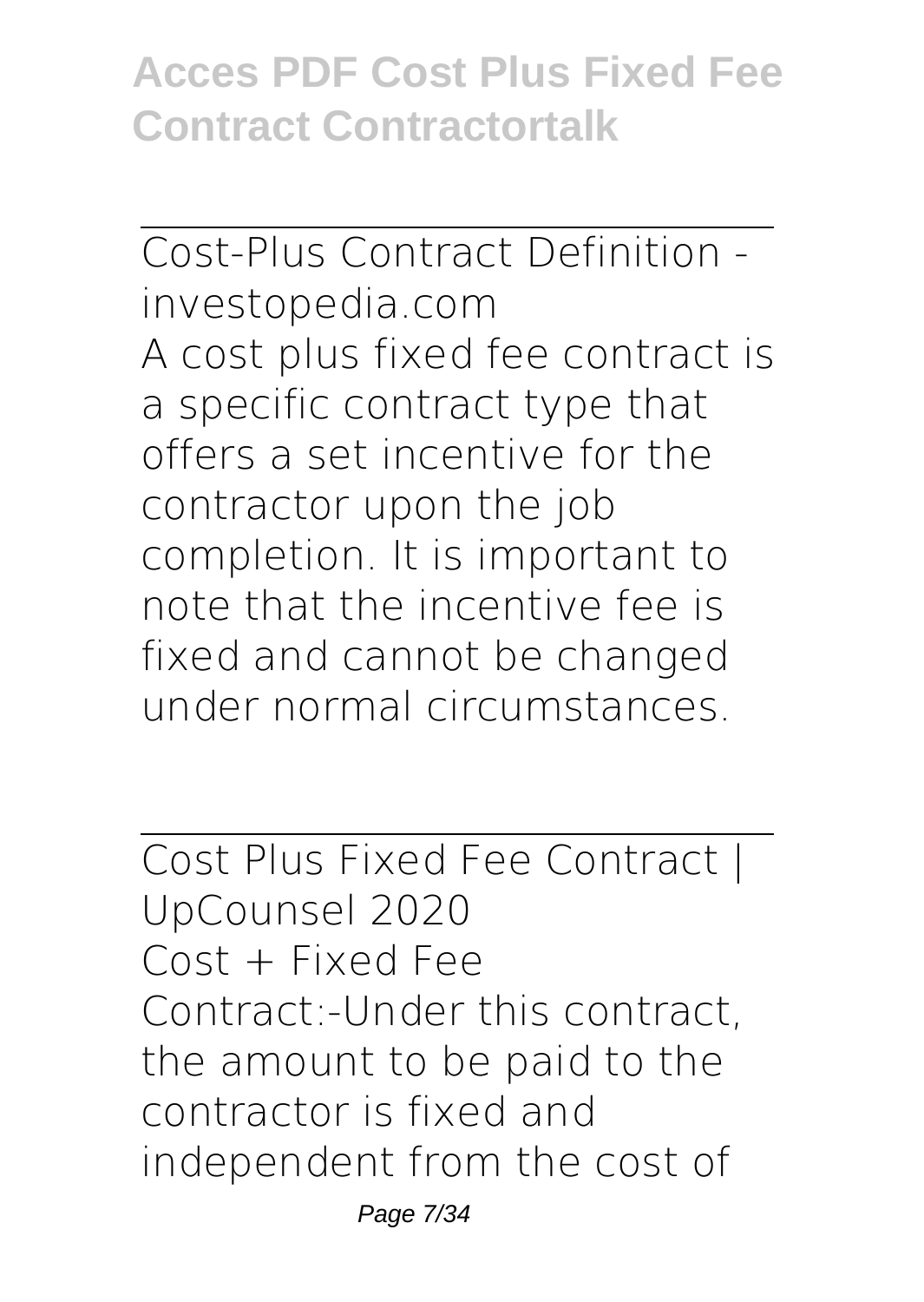Cost-Plus Contract Definition investopedia.com A cost plus fixed fee contract is a specific contract type that offers a set incentive for the contractor upon the job completion. It is important to note that the incentive fee is fixed and cannot be changed under normal circumstances.

Cost Plus Fixed Fee Contract | UpCounsel 2020 Cost + Fixed Fee Contract:-Under this contract, the amount to be paid to the contractor is fixed and independent from the cost of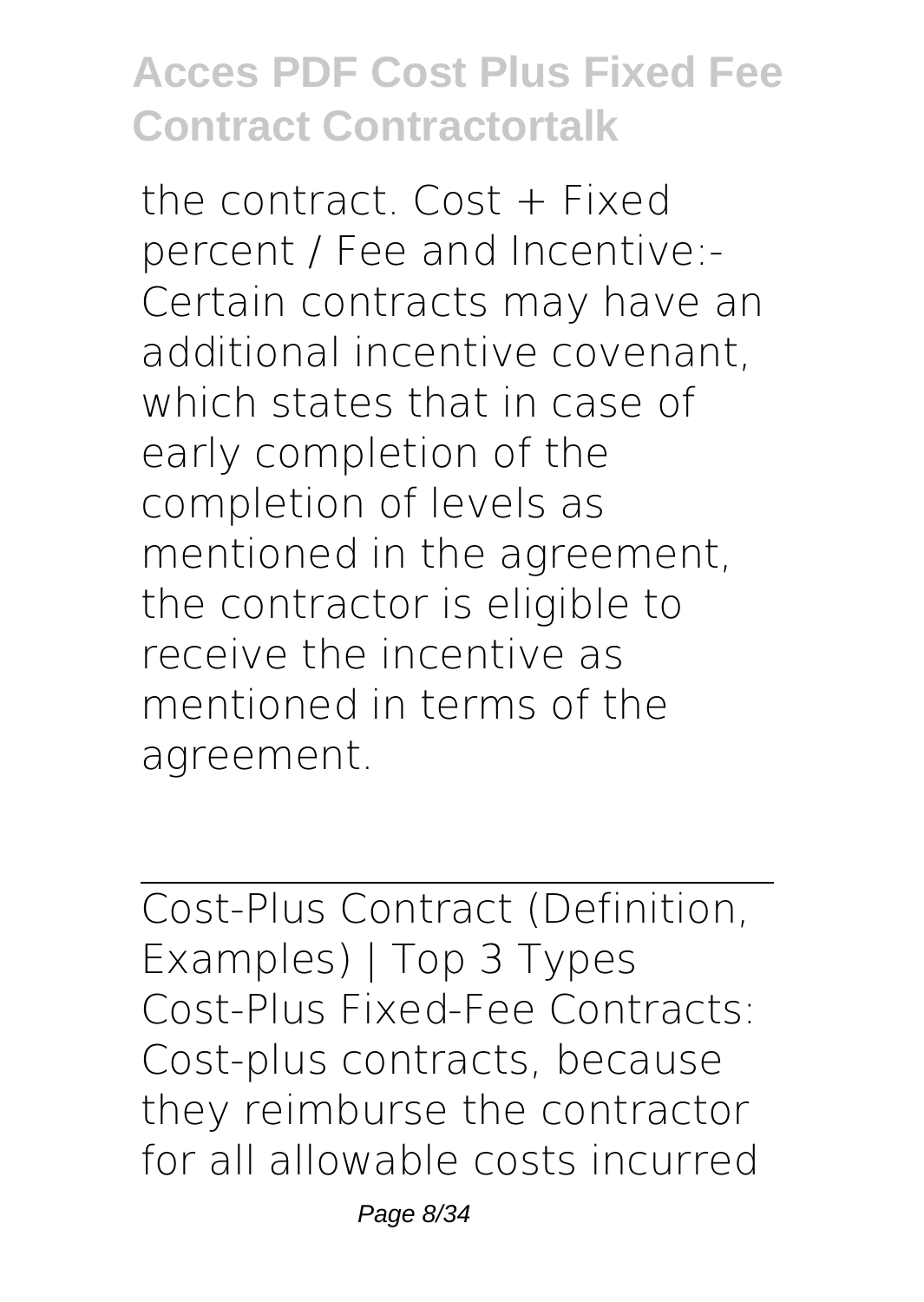the contract. Cost + Fixed percent / Fee and Incentive:- Certain contracts may have an additional incentive covenant, which states that in case of early completion of the completion of levels as mentioned in the agreement, the contractor is eligible to receive the incentive as mentioned in terms of the agreement.

Cost-Plus Contract (Definition, Examples) | Top 3 Types Cost-Plus Fixed-Fee Contracts: Cost-plus contracts, because they reimburse the contractor for all allowable costs incurred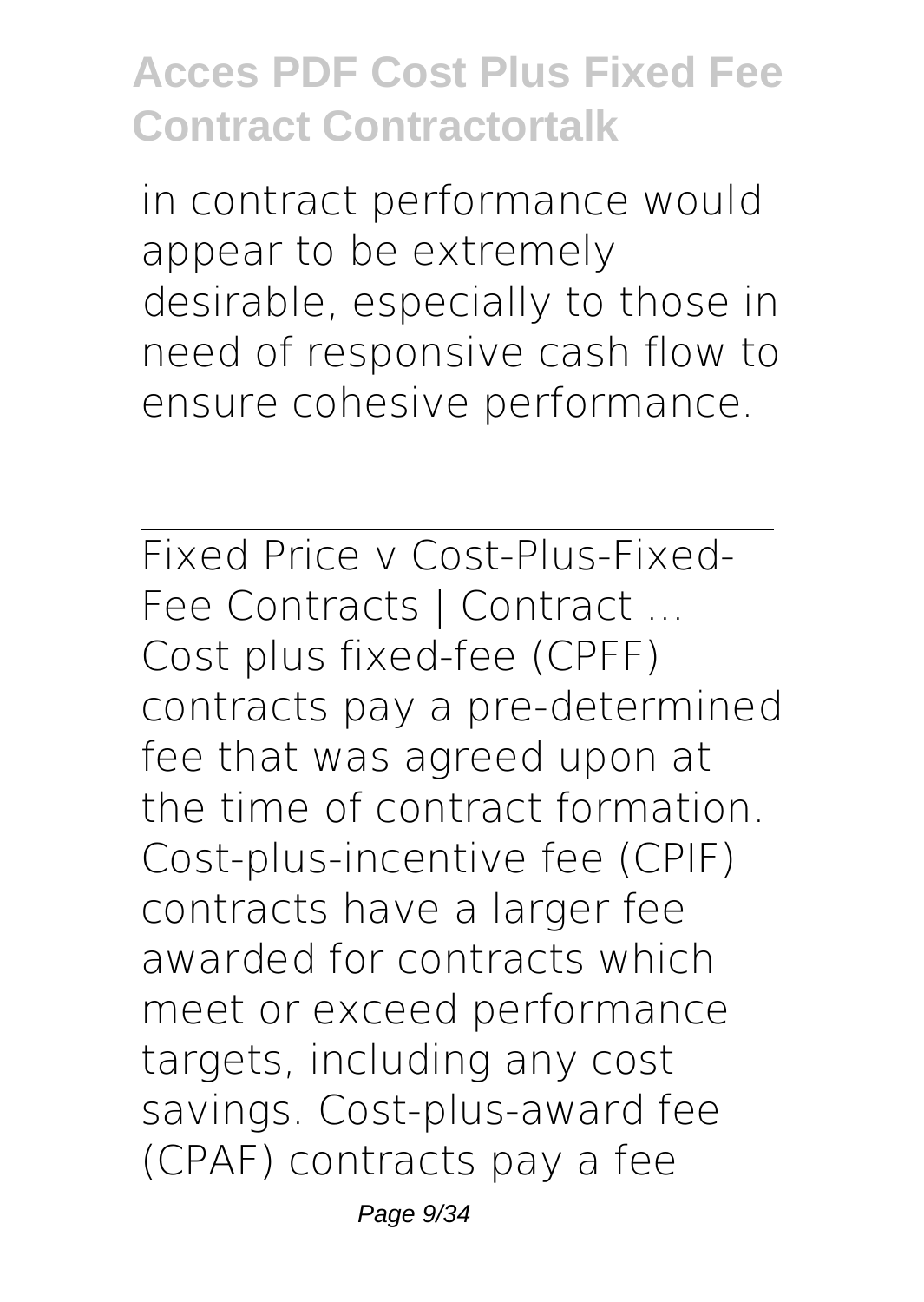in contract performance would appear to be extremely desirable, especially to those in need of responsive cash flow to ensure cohesive performance.

Fixed Price v Cost-Plus-Fixed-Fee Contracts | Contract ... Cost plus fixed-fee (CPFF) contracts pay a pre-determined fee that was agreed upon at the time of contract formation. Cost-plus-incentive fee (CPIF) contracts have a larger fee awarded for contracts which meet or exceed performance targets, including any cost savings. Cost-plus-award fee (CPAF) contracts pay a fee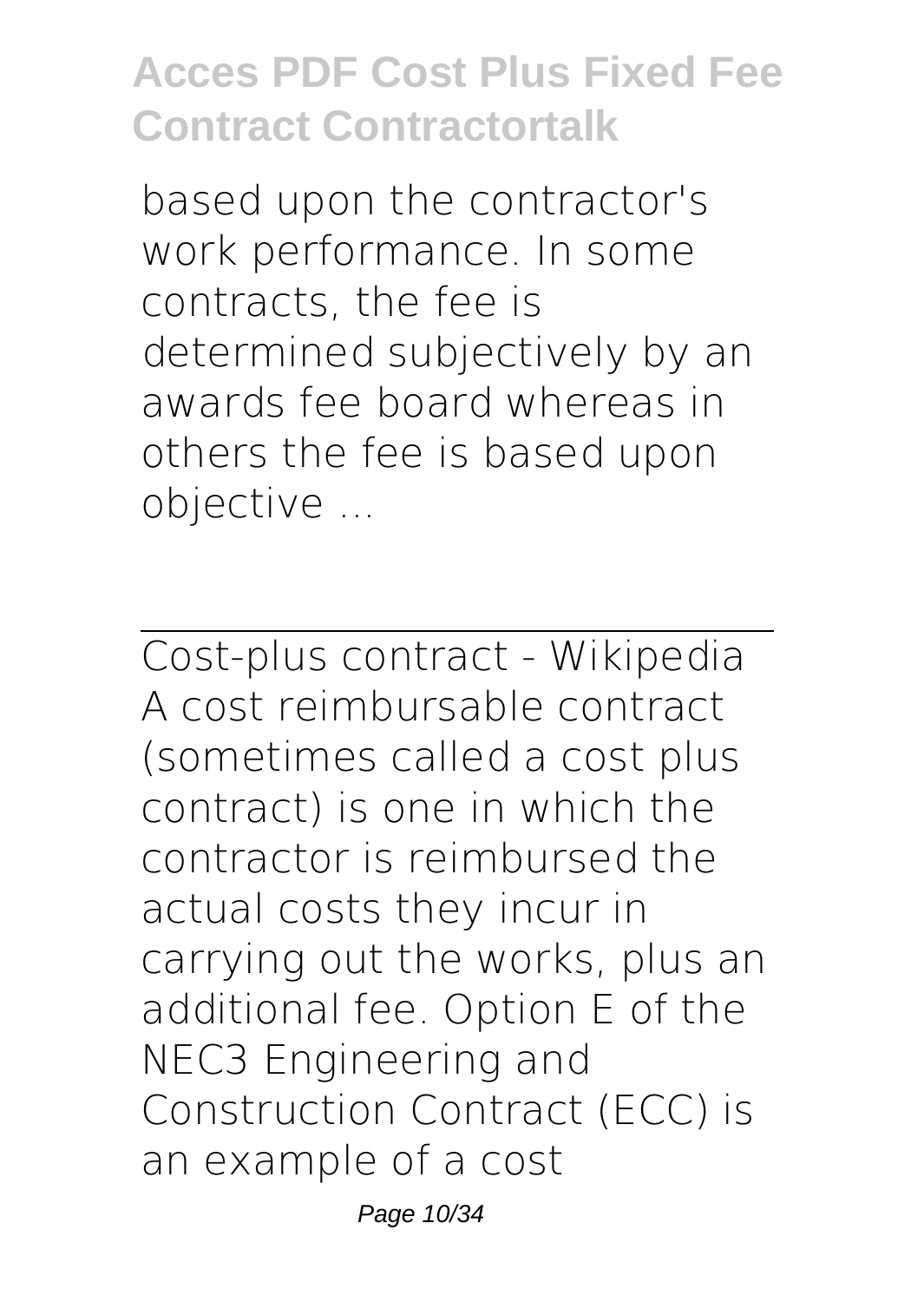based upon the contractor's work performance. In some contracts, the fee is determined subjectively by an awards fee board whereas in others the fee is based upon objective ...

Cost-plus contract - Wikipedia A cost reimbursable contract (sometimes called a cost plus contract) is one in which the contractor is reimbursed the actual costs they incur in carrying out the works, plus an additional fee. Option E of the NEC3 Engineering and Construction Contract (ECC) is an example of a cost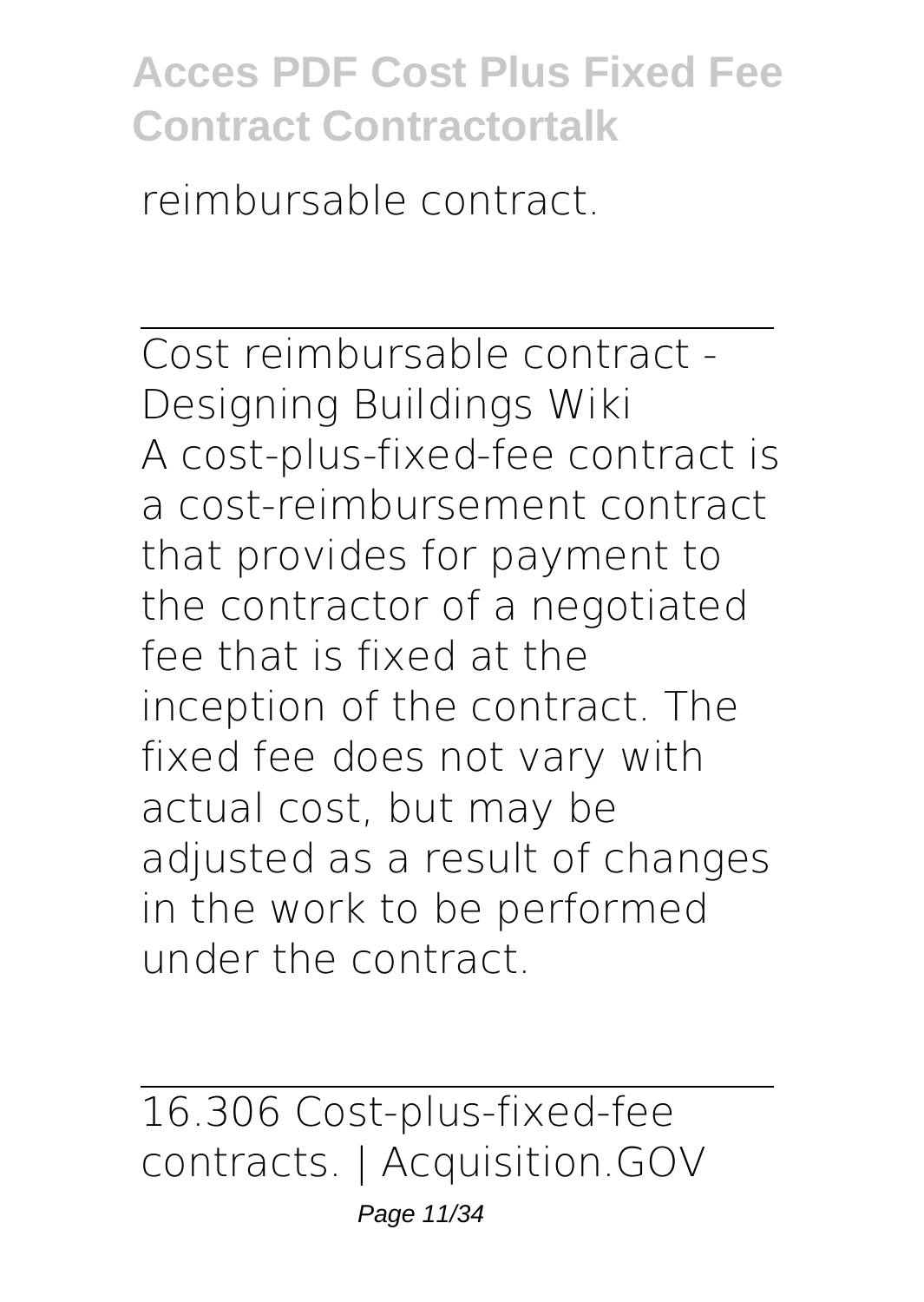reimbursable contract.

Cost reimbursable contract - Designing Buildings Wiki A cost-plus-fixed-fee contract is a cost-reimbursement contract that provides for payment to the contractor of a negotiated fee that is fixed at the inception of the contract. The fixed fee does not vary with actual cost, but may be adjusted as a result of changes in the work to be performed under the contract.

16.306 Cost-plus-fixed-fee contracts. | Acquisition.GOV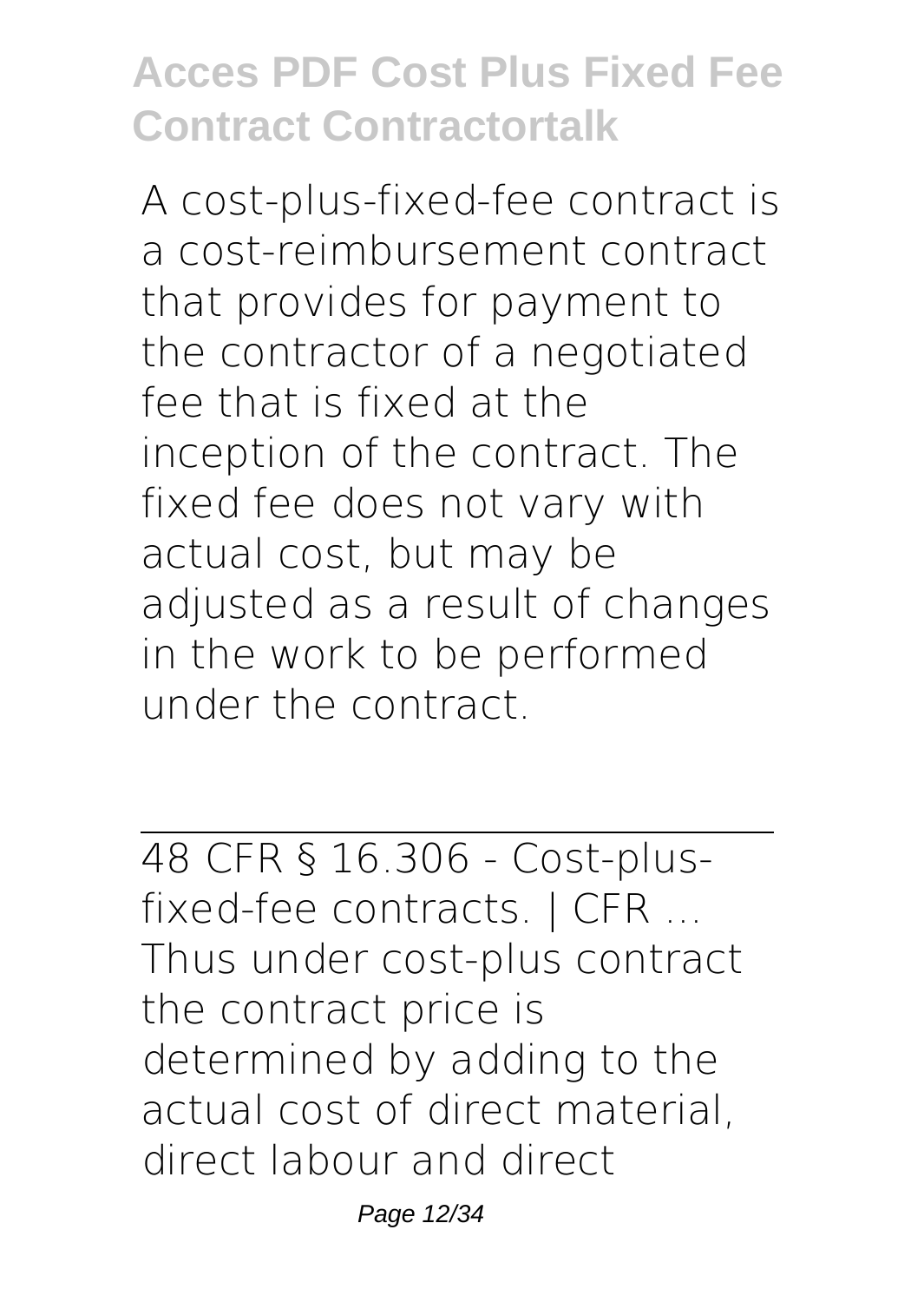A cost-plus-fixed-fee contract is a cost-reimbursement contract that provides for payment to the contractor of a negotiated fee that is fixed at the inception of the contract. The fixed fee does not vary with actual cost, but may be adjusted as a result of changes in the work to be performed under the contract.

48 CFR § 16.306 - Cost-plusfixed-fee contracts. | CFR ... Thus under cost-plus contract the contract price is determined by adding to the actual cost of direct material, direct labour and direct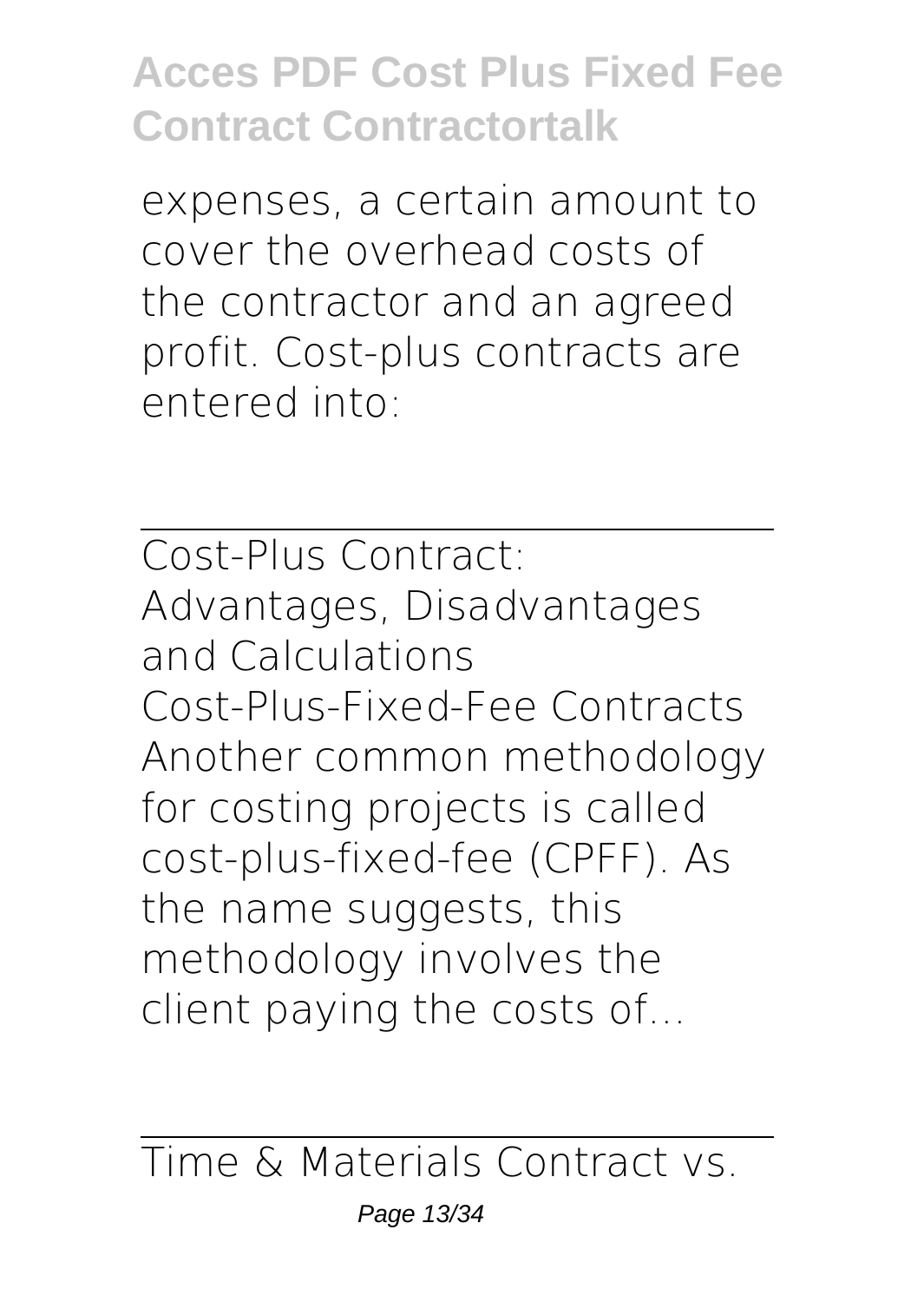expenses, a certain amount to cover the overhead costs of the contractor and an agreed profit. Cost-plus contracts are entered into:

Cost-Plus Contract: Advantages, Disadvantages and Calculations Cost-Plus-Fixed-Fee Contracts Another common methodology for costing projects is called cost-plus-fixed-fee (CPFF). As the name suggests, this methodology involves the client paying the costs of...

Time & Materials Contract vs.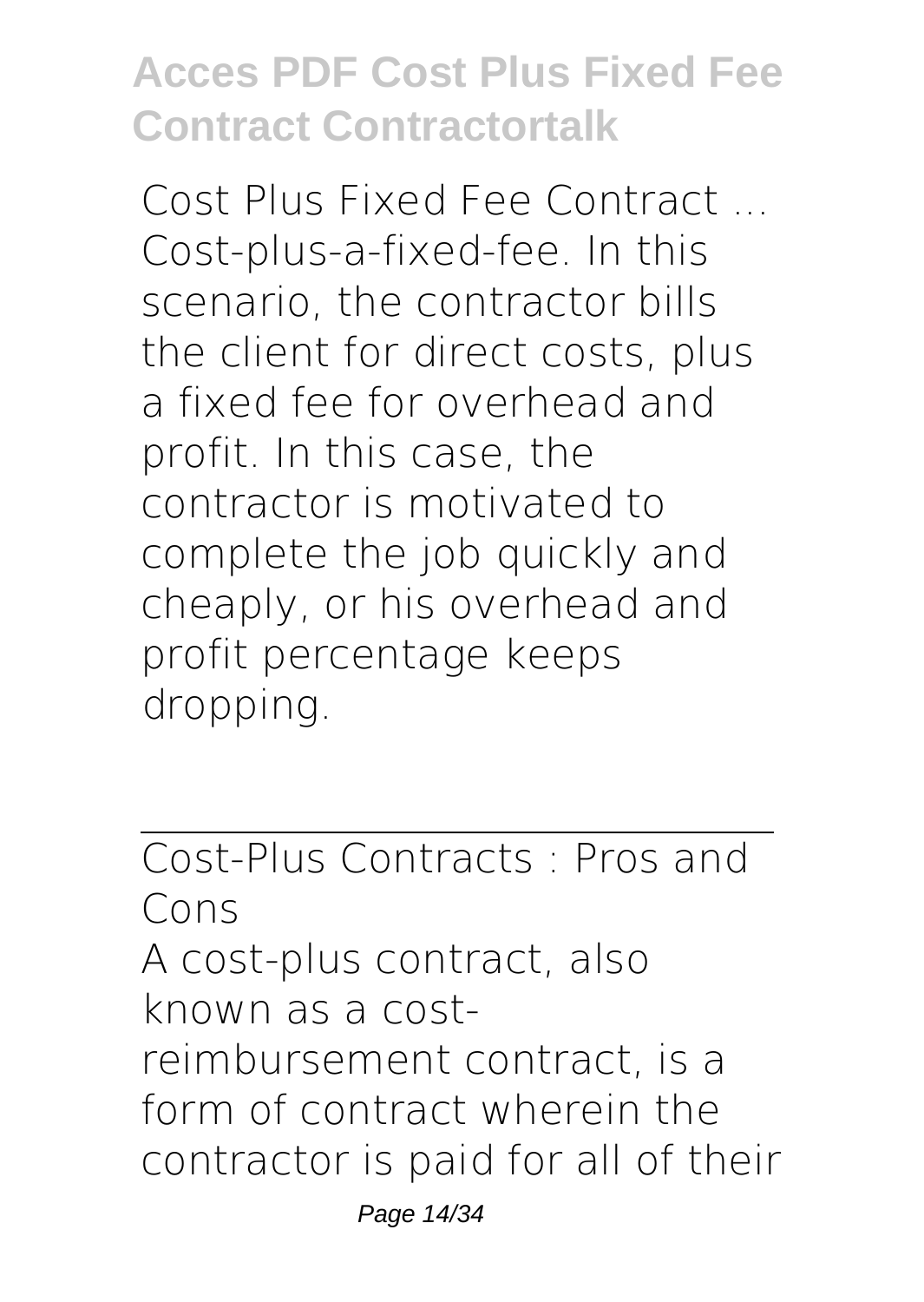Cost Plus Fixed Fee Contract ... Cost-plus-a-fixed-fee. In this scenario, the contractor bills the client for direct costs, plus a fixed fee for overhead and profit. In this case, the contractor is motivated to complete the job quickly and cheaply, or his overhead and profit percentage keeps dropping.

Cost-Plus Contracts : Pros and Cons A cost-plus contract, also known as a costreimbursement contract, is a form of contract wherein the contractor is paid for all of their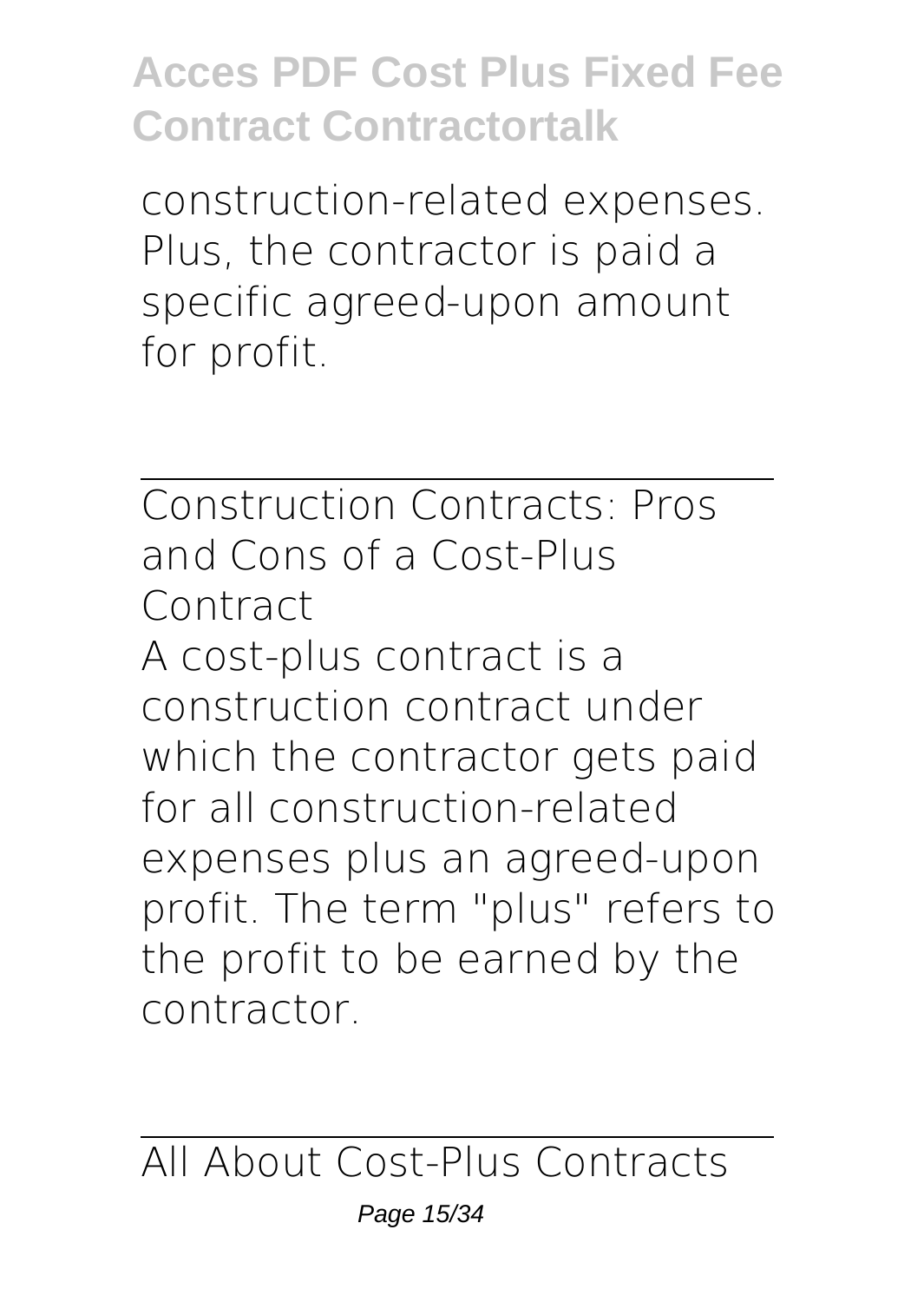construction-related expenses. Plus, the contractor is paid a specific agreed-upon amount for profit.

Construction Contracts: Pros and Cons of a Cost-Plus Contract A cost-plus contract is a construction contract under which the contractor gets paid for all construction-related expenses plus an agreed-upon profit. The term "plus" refers to the profit to be earned by the contractor.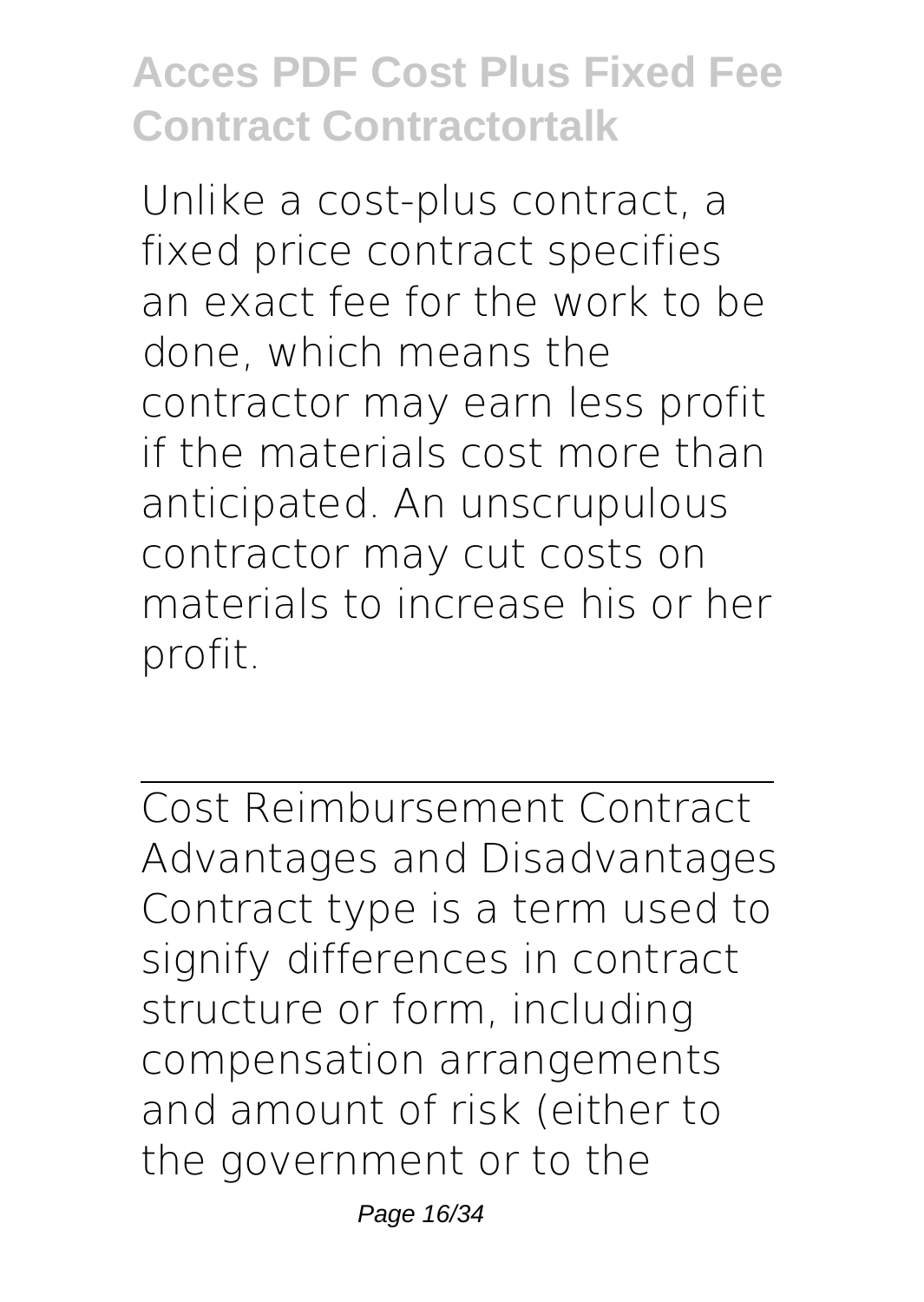Unlike a cost-plus contract, a fixed price contract specifies an exact fee for the work to be done, which means the contractor may earn less profit if the materials cost more than anticipated. An unscrupulous contractor may cut costs on materials to increase his or her profit.

Cost Reimbursement Contract Advantages and Disadvantages Contract type is a term used to signify differences in contract structure or form, including compensation arrangements and amount of risk (either to the government or to the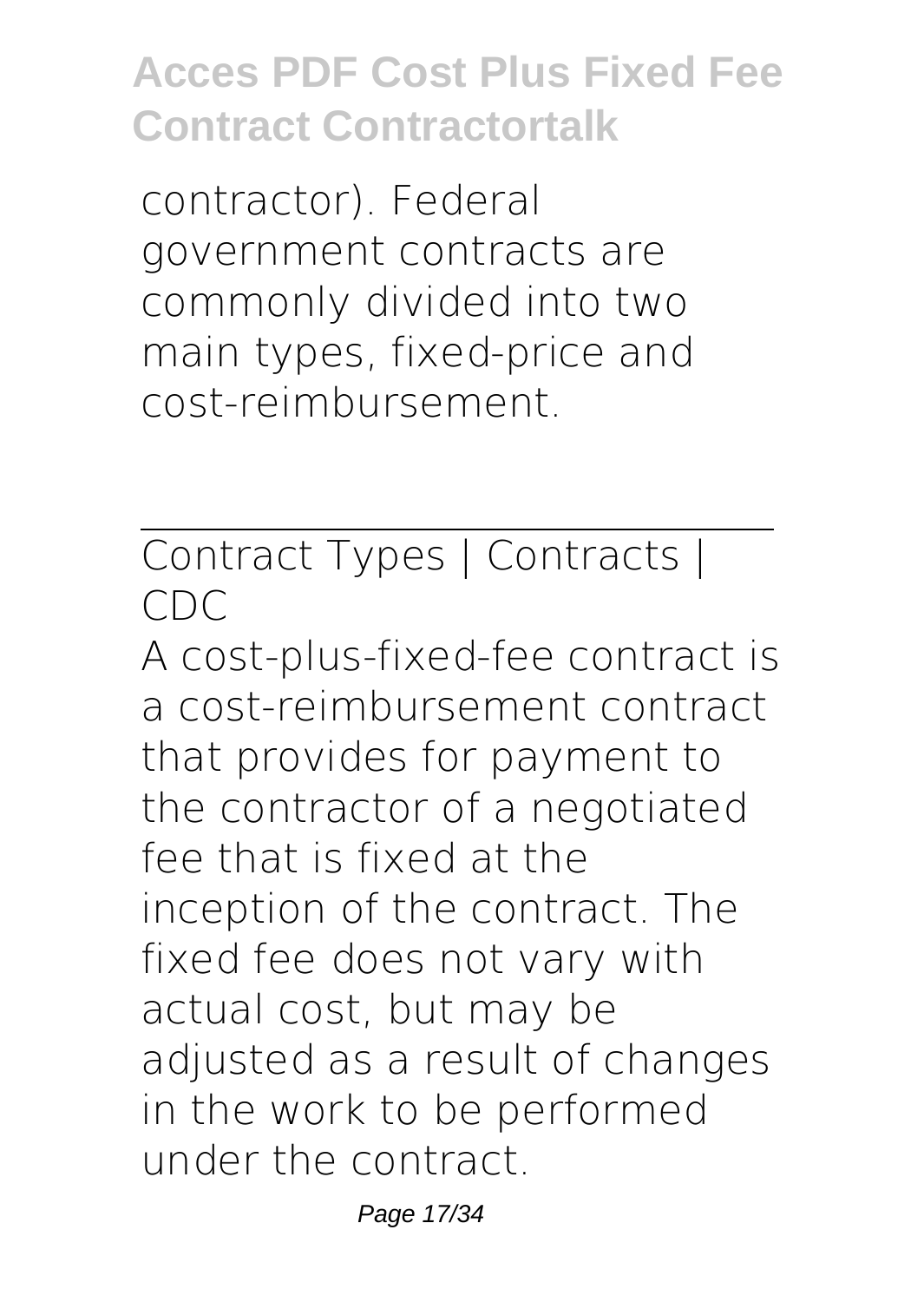contractor). Federal government contracts are commonly divided into two main types, fixed-price and cost-reimbursement.

Contract Types | Contracts | CDC

A cost-plus-fixed-fee contract is a cost-reimbursement contract that provides for payment to the contractor of a negotiated fee that is fixed at the inception of the contract. The fixed fee does not vary with actual cost, but may be adjusted as a result of changes in the work to be performed under the contract.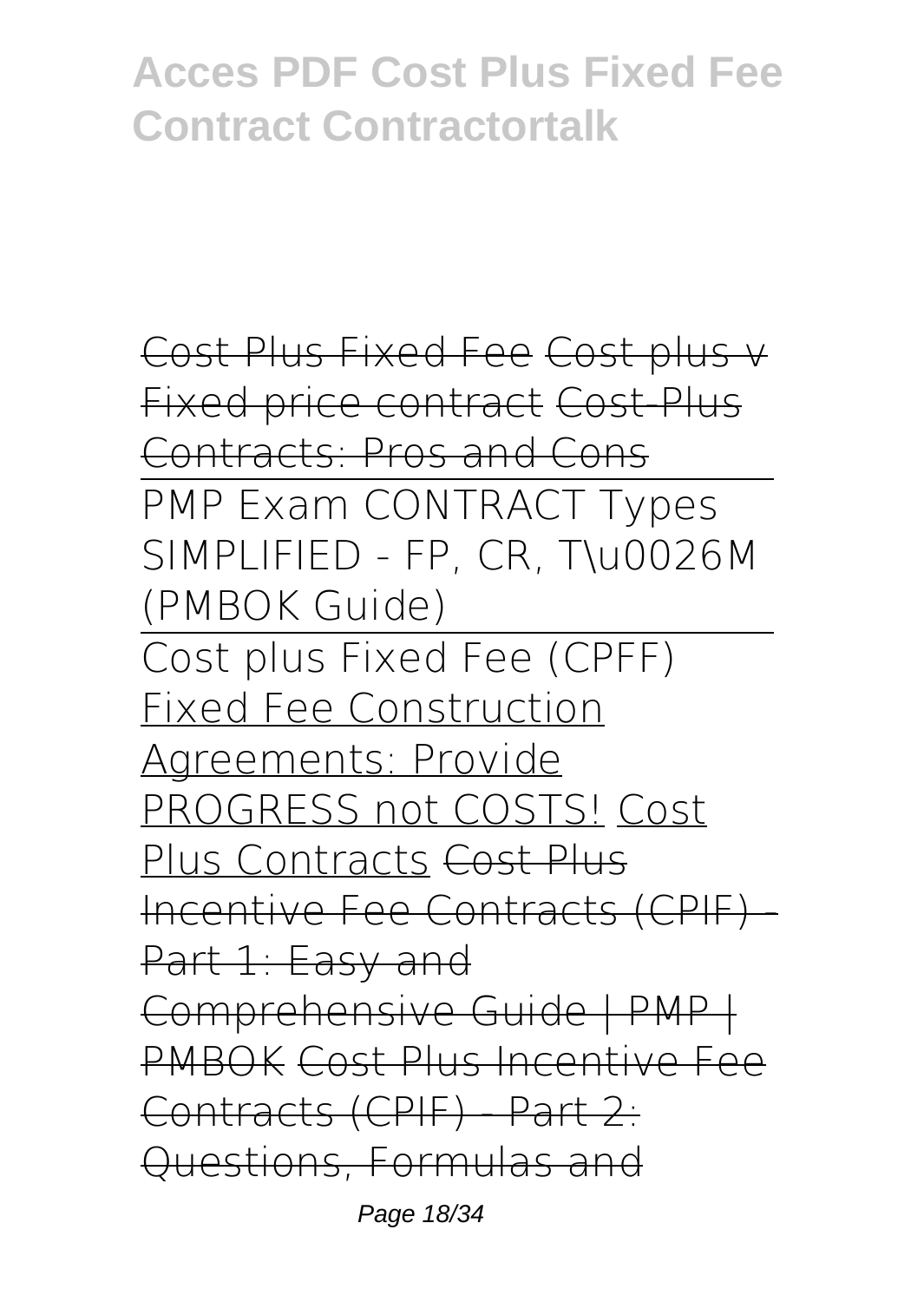```
Cost Plus Fixed Fee Cost plus v
Fixed price contract Cost-Plus
Contracts: Pros and Cons
PMP Exam CONTRACT Types
SIMPLIFIED - FP, CR, T\u0026M
(PMBOK Guide)
Cost plus Fixed Fee (CPFF)
Fixed Fee Construction
Agreements: Provide
PROGRESS not COSTS! Cost
Plus Contracts Cost Plus
Incentive Fee Contracts (CPIF) -
Part 1: Easy and
Comprehensive Guide | PMP |
PMBOK Cost Plus Incentive Fee
Contracts (CPIF) - Part 2:
Questions, Formulas and
```
Page 18/34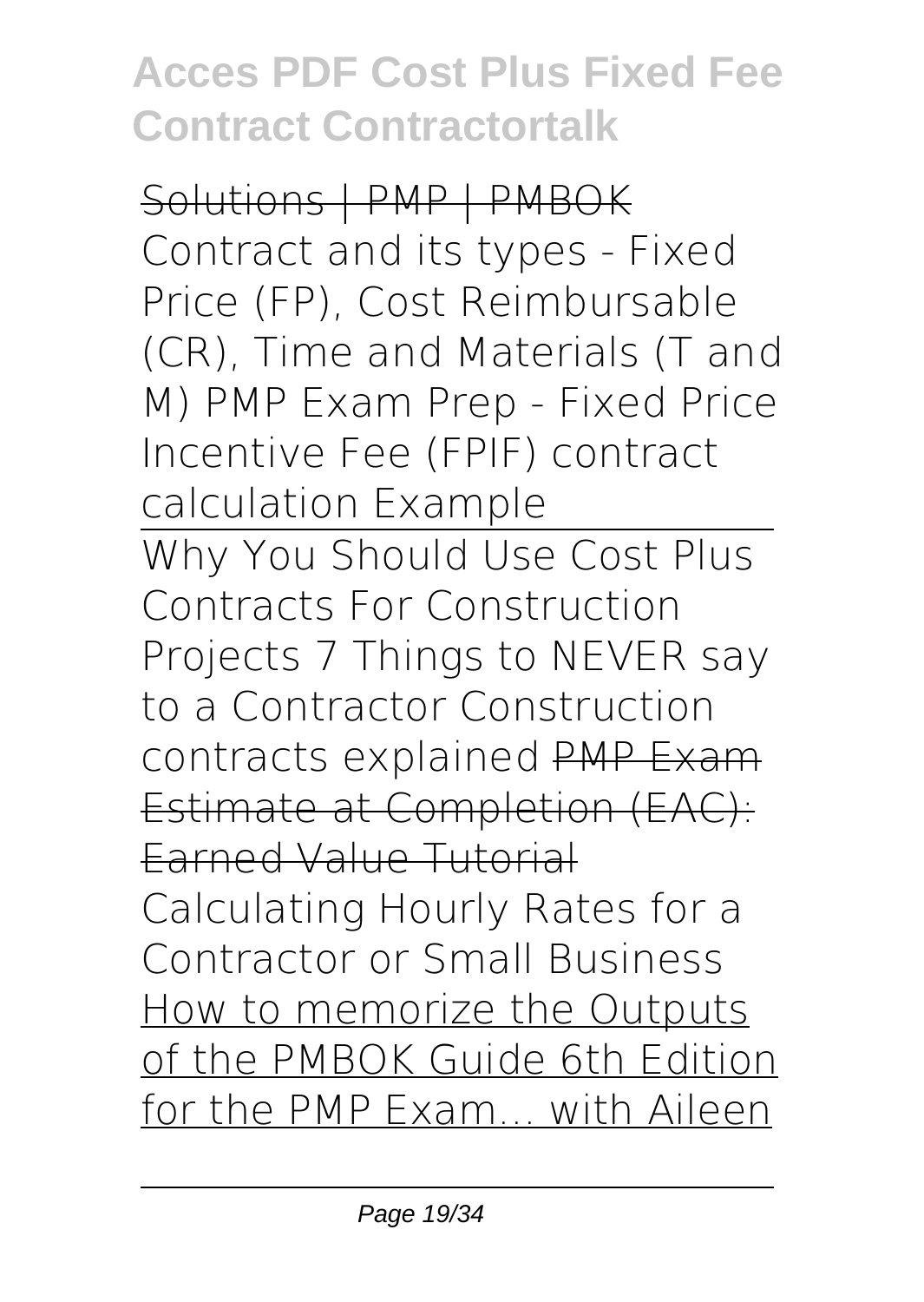Solutions | PMP | PMBOK Contract and its types - Fixed Price (FP), Cost Reimbursable (CR), Time and Materials (T and M) **PMP Exam Prep - Fixed Price Incentive Fee (FPIF) contract calculation Example** Why You Should Use Cost Plus Contracts For Construction Projects 7 Things to NEVER say to a Contractor **Construction contracts explained** PMP Exam Estimate at Completion (EAC): Earned Value Tutorial **Calculating Hourly Rates for a Contractor or Small Business** How to memorize the Outputs of the PMBOK Guide 6th Edition for the PMP Exam... with Aileen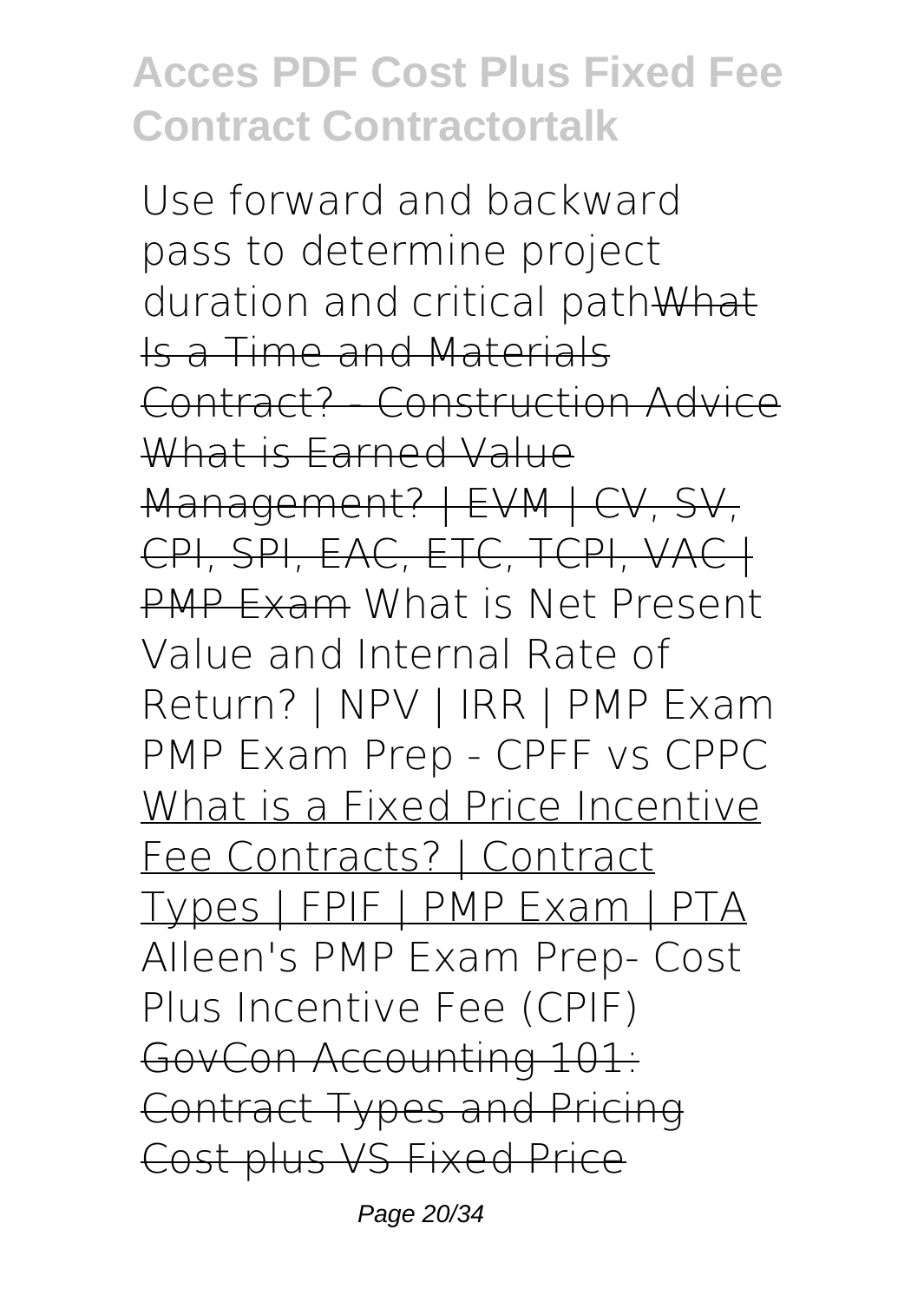Use forward and backward pass to determine project duration and critical pathWhat Is a Time and Materials Contract? - Construction Advice What is Earned Value Management? | EVM | CV, SV, CPI, SPI, EAC, ETC, TCPI, VAC+ PMP Exam What is Net Present Value and Internal Rate of Return? | NPV | IRR | PMP Exam *PMP Exam Prep - CPFF vs CPPC* What is a Fixed Price Incentive Fee Contracts? | Contract Types | FPIF | PMP Exam | PTA *AIleen's PMP Exam Prep- Cost Plus Incentive Fee (CPIF)* GovCon Accounting 101: Contract Types and Pricing Cost plus VS Fixed Price

Page 20/34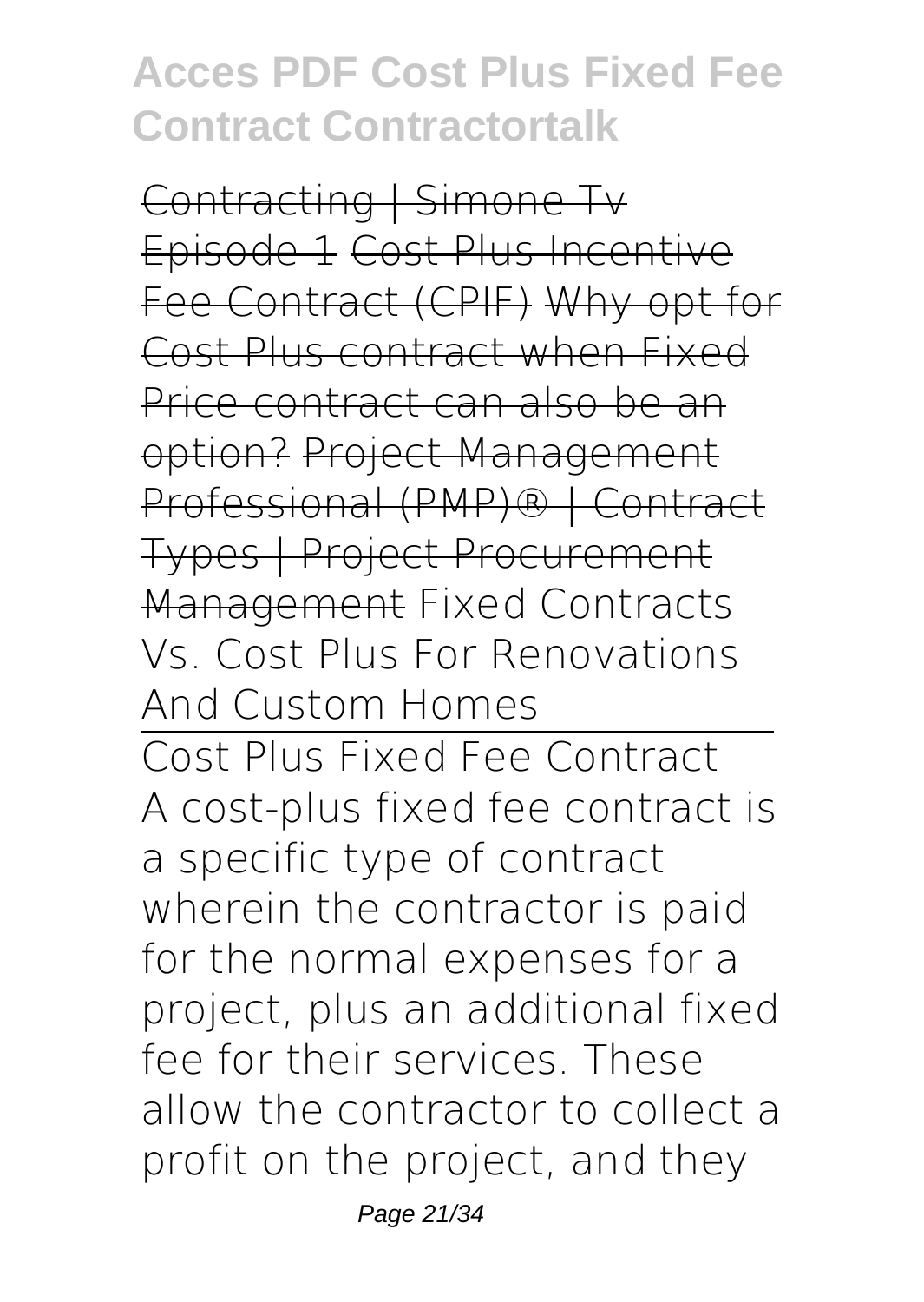Contracting | Simone Tv Episode 1 Cost Plus Incentive Fee Contract (CPIF) Why opt for Cost Plus contract when Fixed Price contract can also be an option? Project Management Professional (PMP)® | Contract Types | Project Procurement Management *Fixed Contracts Vs. Cost Plus For Renovations And Custom Homes*

Cost Plus Fixed Fee Contract A cost-plus fixed fee contract is a specific type of contract wherein the contractor is paid for the normal expenses for a project, plus an additional fixed fee for their services. These allow the contractor to collect a profit on the project, and they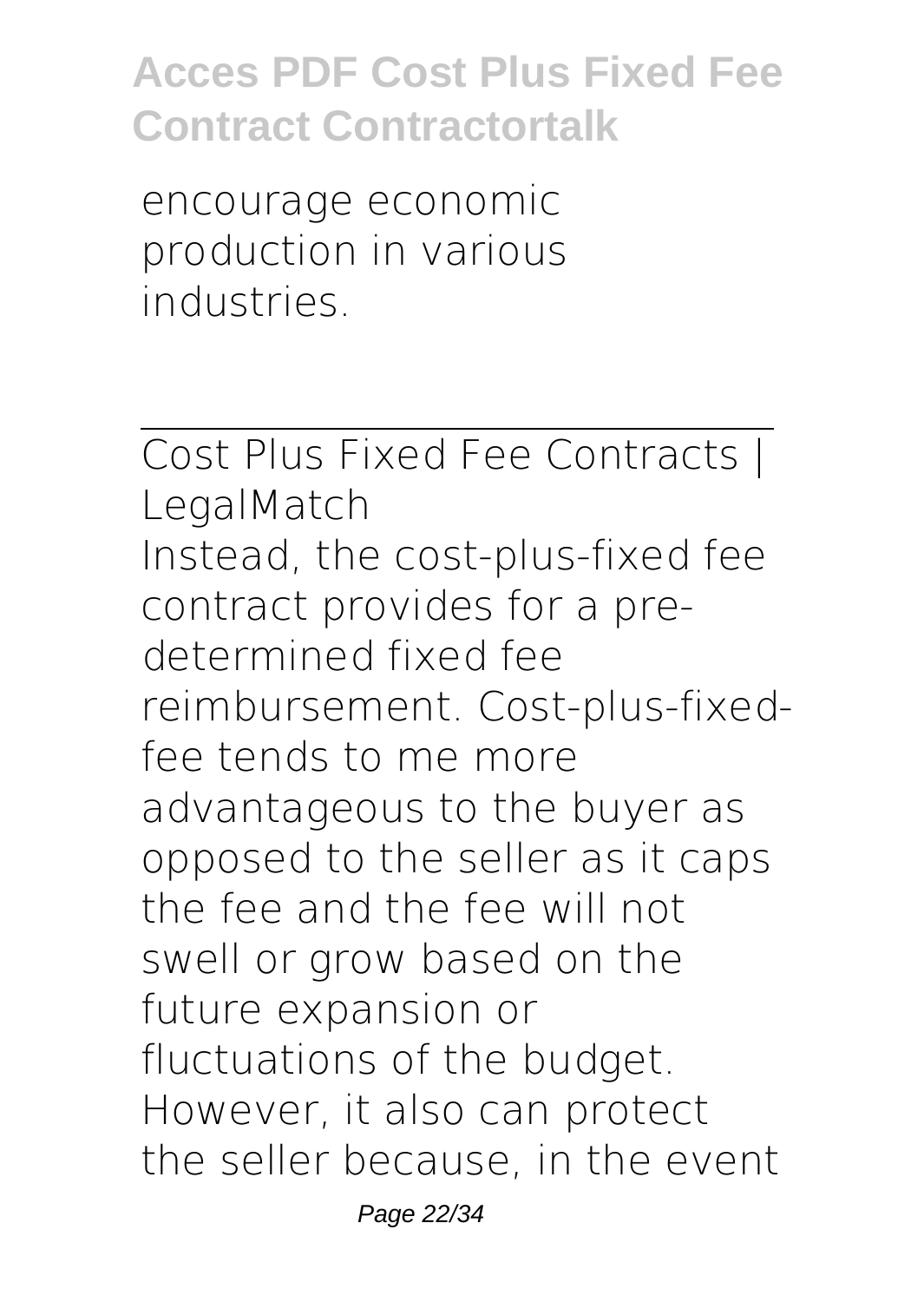encourage economic production in various industries.

Cost Plus Fixed Fee Contracts | LegalMatch Instead, the cost-plus-fixed fee contract provides for a predetermined fixed fee reimbursement. Cost-plus-fixedfee tends to me more advantageous to the buyer as opposed to the seller as it caps the fee and the fee will not swell or grow based on the future expansion or fluctuations of the budget. However, it also can protect the seller because, in the event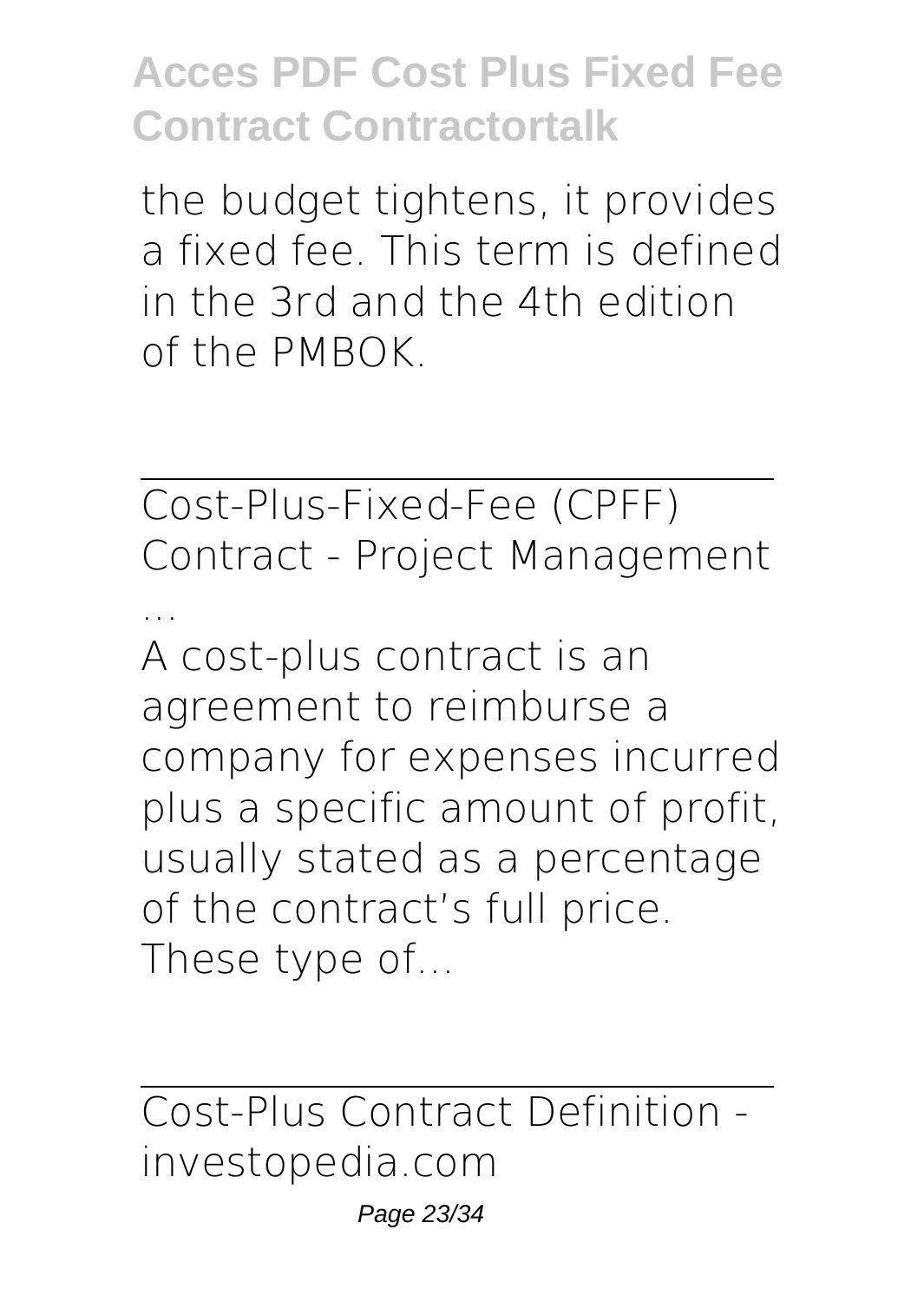the budget tightens, it provides a fixed fee. This term is defined in the 3rd and the 4th edition of the PMBOK.

Cost-Plus-Fixed-Fee (CPFF) Contract - Project Management

... A cost-plus contract is an agreement to reimburse a company for expenses incurred plus a specific amount of profit, usually stated as a percentage of the contract's full price. These type of...

Cost-Plus Contract Definition investopedia.com

Page 23/34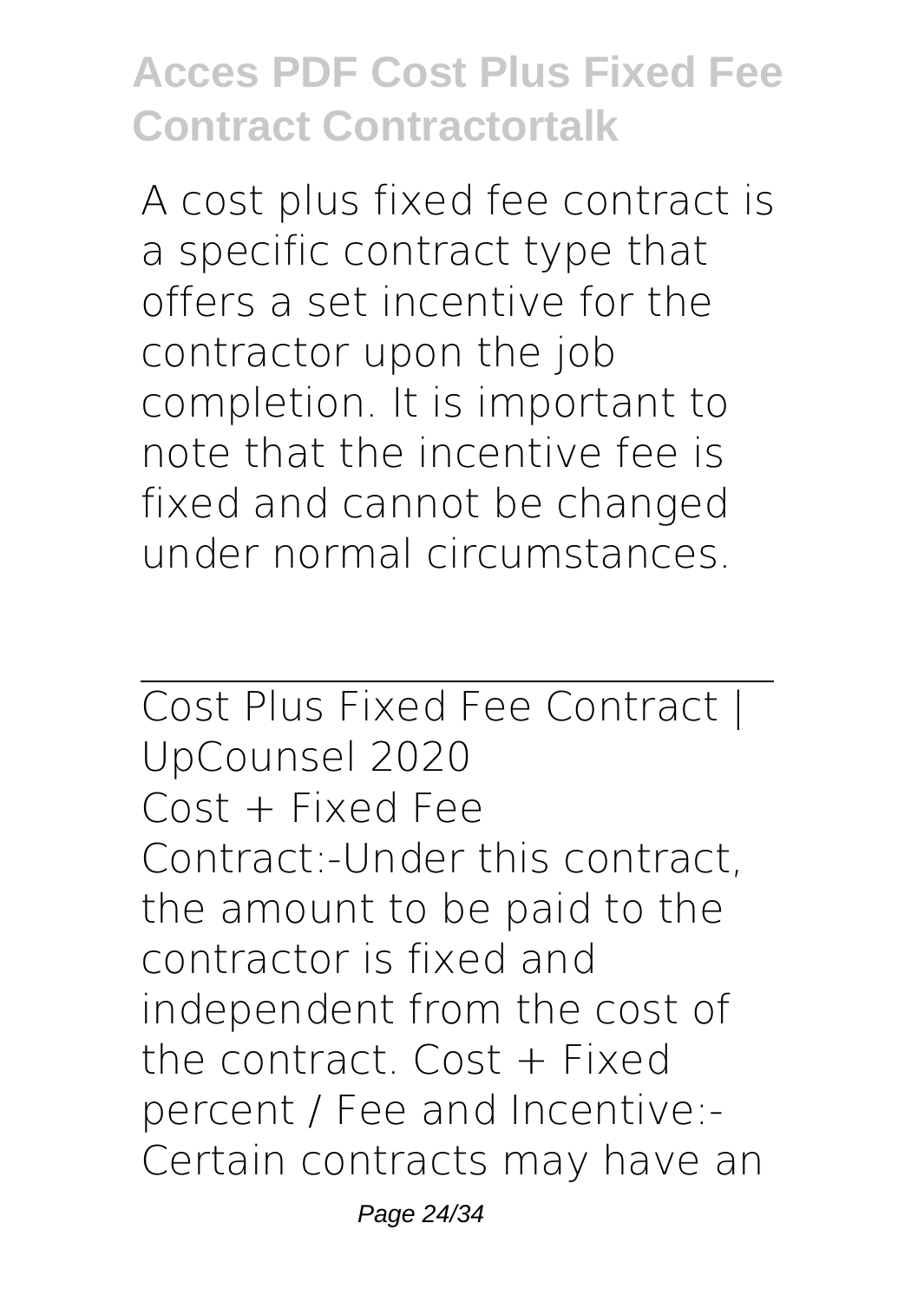A cost plus fixed fee contract is a specific contract type that offers a set incentive for the contractor upon the job completion. It is important to note that the incentive fee is fixed and cannot be changed under normal circumstances.

Cost Plus Fixed Fee Contract | UpCounsel 2020 Cost + Fixed Fee Contract:-Under this contract, the amount to be paid to the contractor is fixed and independent from the cost of the contract. Cost + Fixed percent / Fee and Incentive:- Certain contracts may have an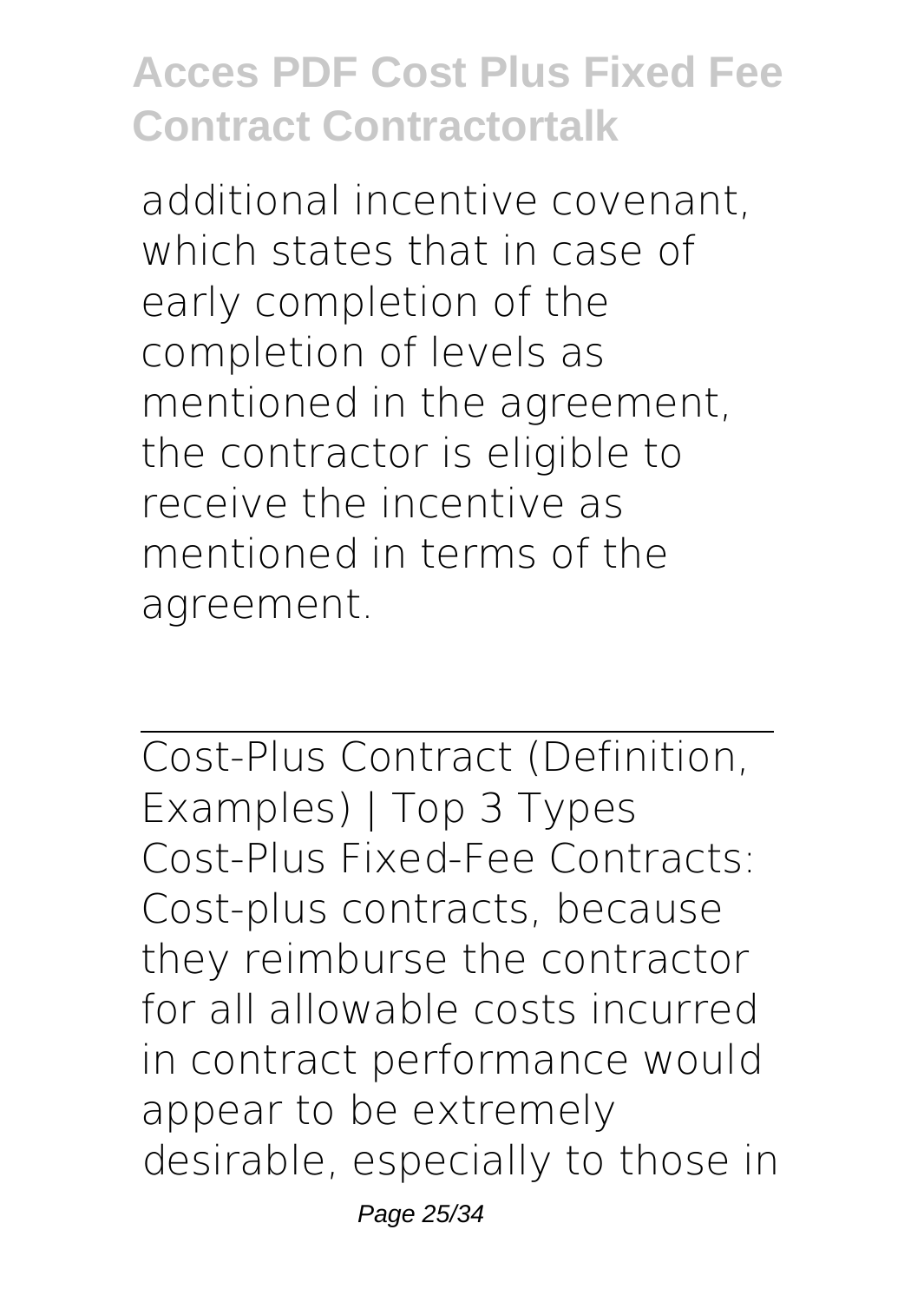additional incentive covenant, which states that in case of early completion of the completion of levels as mentioned in the agreement, the contractor is eligible to receive the incentive as mentioned in terms of the agreement.

Cost-Plus Contract (Definition, Examples) | Top 3 Types Cost-Plus Fixed-Fee Contracts: Cost-plus contracts, because they reimburse the contractor for all allowable costs incurred in contract performance would appear to be extremely desirable, especially to those in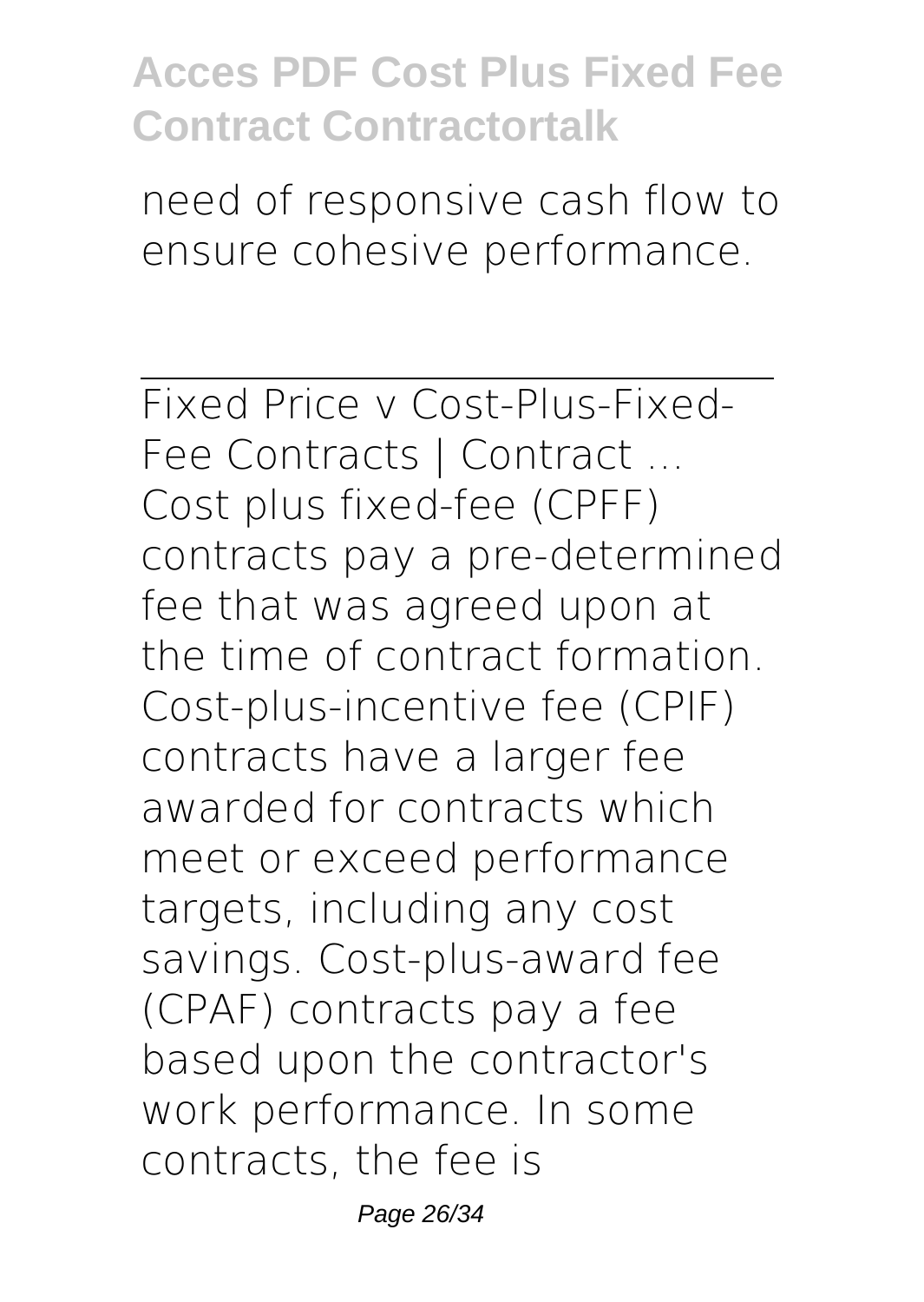need of responsive cash flow to ensure cohesive performance.

Fixed Price v Cost-Plus-Fixed-Fee Contracts | Contract ... Cost plus fixed-fee (CPFF) contracts pay a pre-determined fee that was agreed upon at the time of contract formation. Cost-plus-incentive fee (CPIF) contracts have a larger fee awarded for contracts which meet or exceed performance targets, including any cost savings. Cost-plus-award fee (CPAF) contracts pay a fee based upon the contractor's work performance. In some contracts, the fee is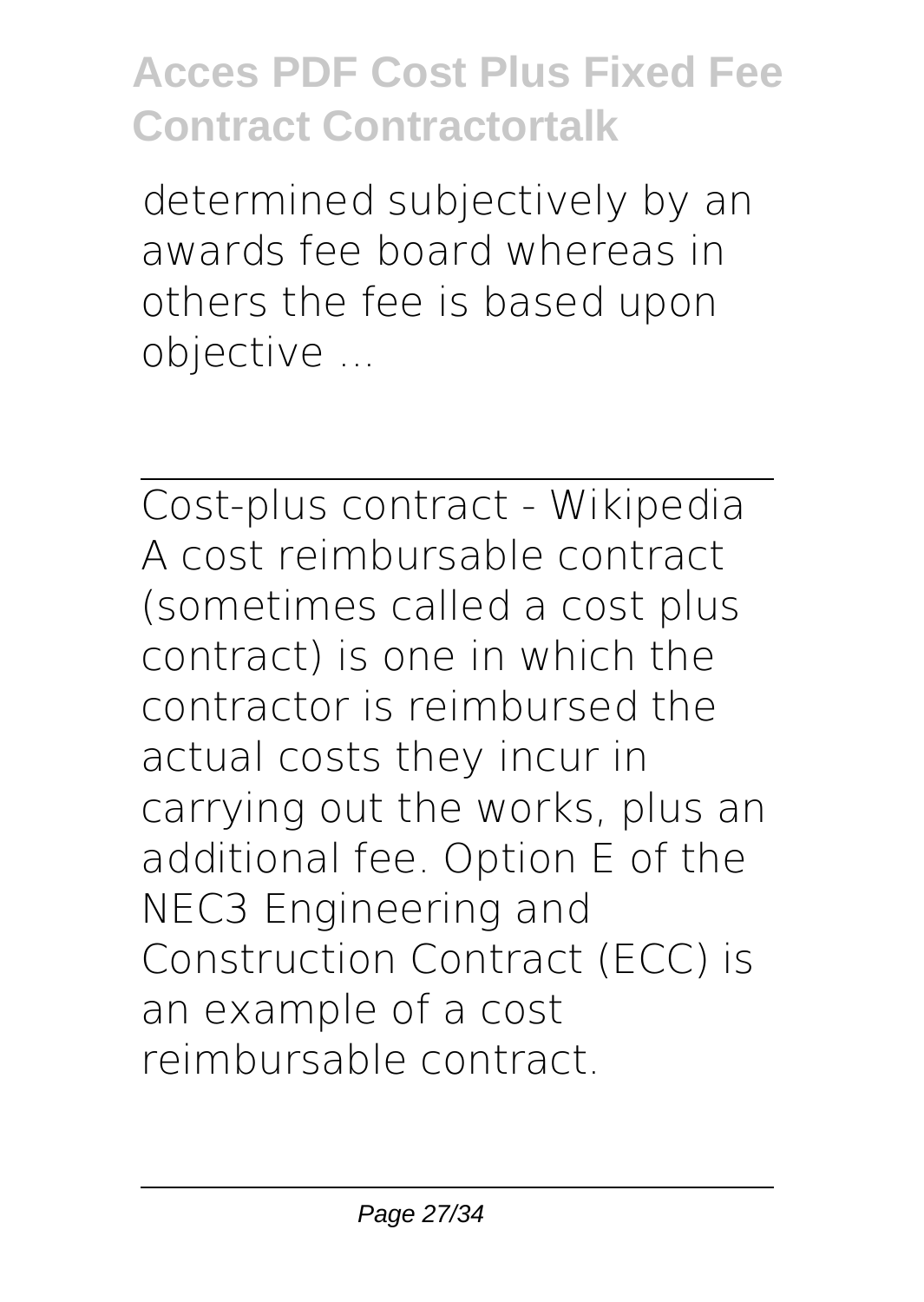determined subjectively by an awards fee board whereas in others the fee is based upon objective ...

Cost-plus contract - Wikipedia A cost reimbursable contract (sometimes called a cost plus contract) is one in which the contractor is reimbursed the actual costs they incur in carrying out the works, plus an additional fee. Option E of the NEC3 Engineering and Construction Contract (ECC) is an example of a cost reimbursable contract.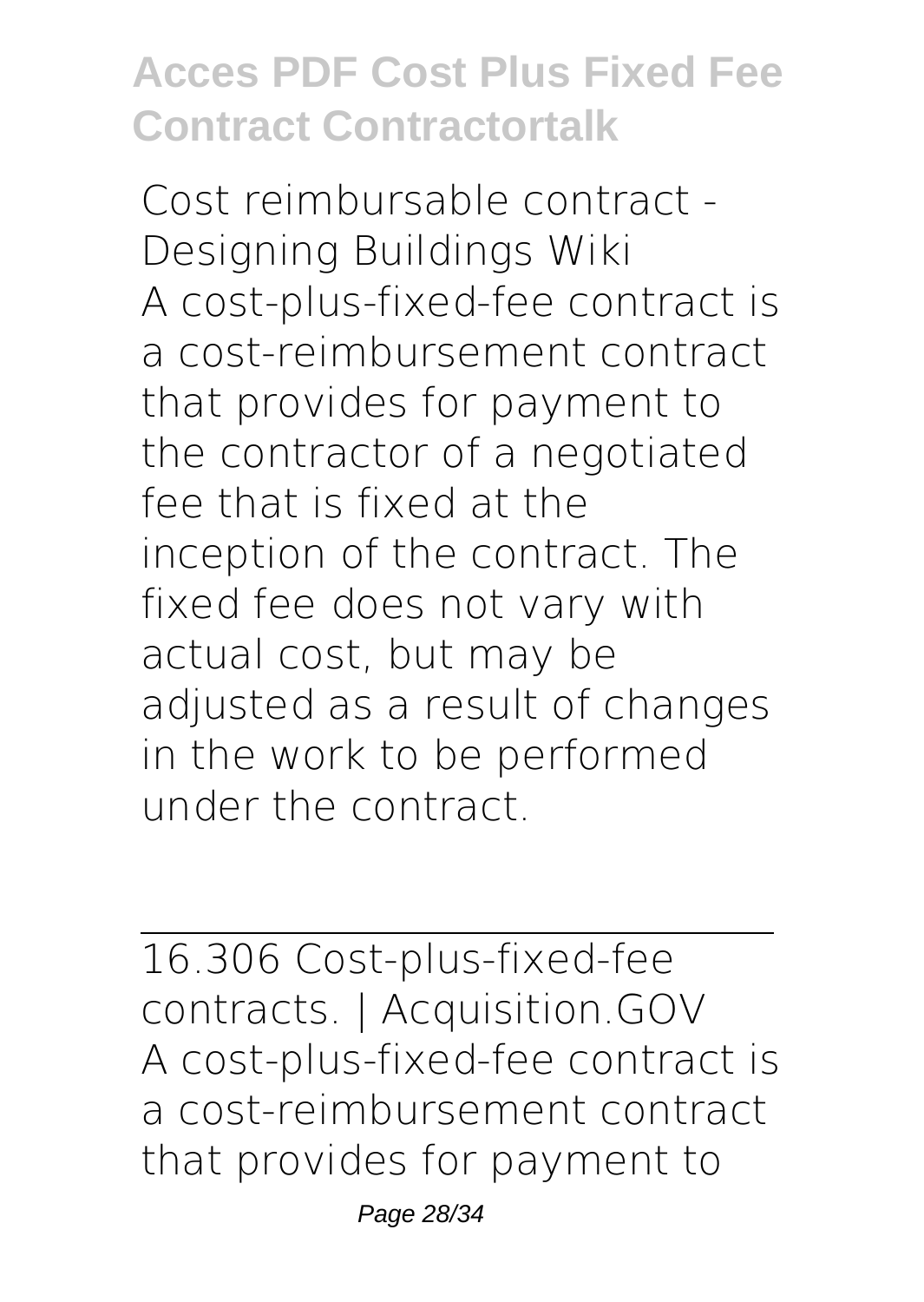Cost reimbursable contract - Designing Buildings Wiki A cost-plus-fixed-fee contract is a cost-reimbursement contract that provides for payment to the contractor of a negotiated fee that is fixed at the inception of the contract. The fixed fee does not vary with actual cost, but may be adjusted as a result of changes in the work to be performed under the contract.

16.306 Cost-plus-fixed-fee contracts. | Acquisition.GOV A cost-plus-fixed-fee contract is a cost-reimbursement contract that provides for payment to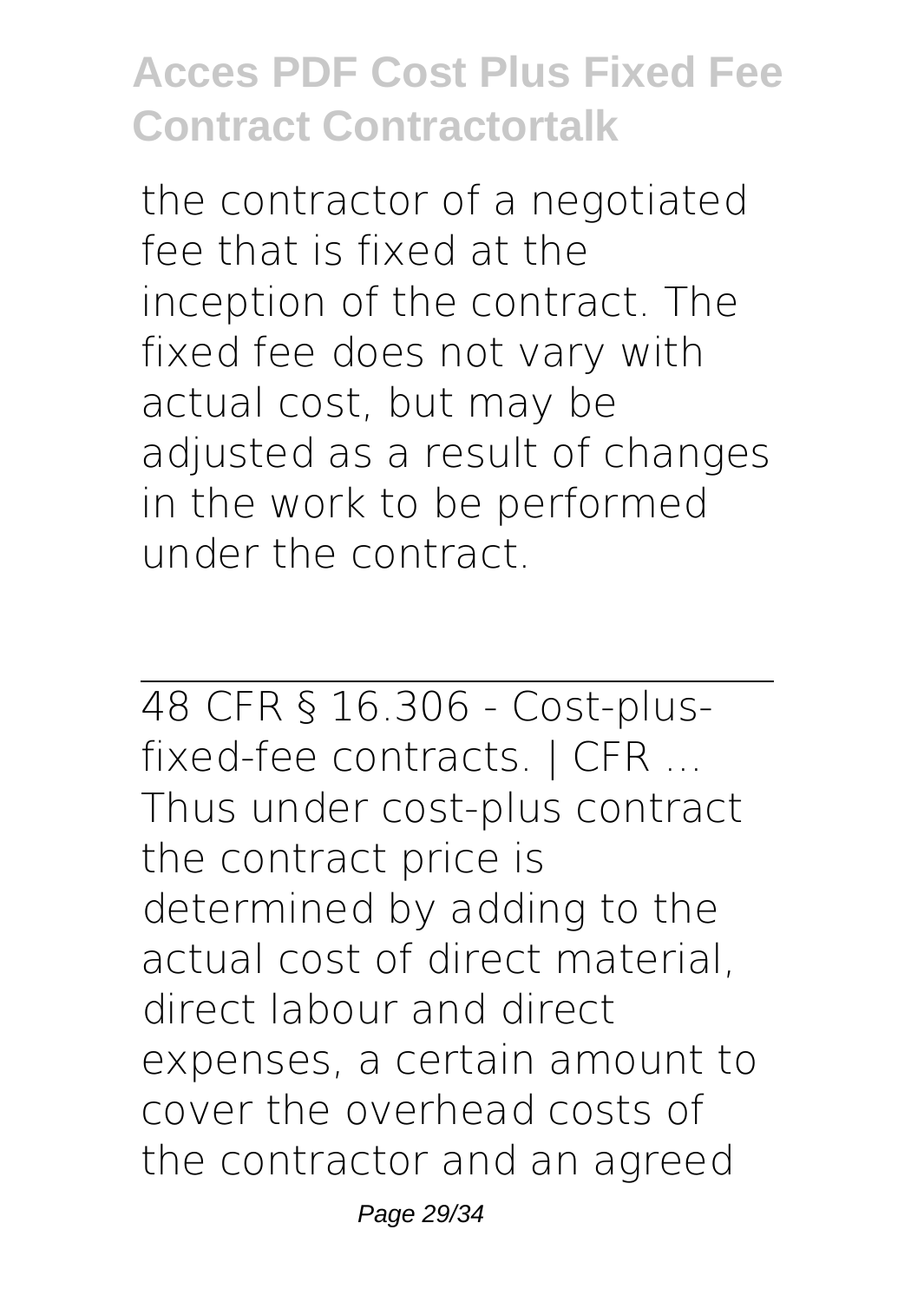the contractor of a negotiated fee that is fixed at the inception of the contract. The fixed fee does not vary with actual cost, but may be adjusted as a result of changes in the work to be performed under the contract.

48 CFR § 16.306 - Cost-plusfixed-fee contracts. | CFR ... Thus under cost-plus contract the contract price is determined by adding to the actual cost of direct material, direct labour and direct expenses, a certain amount to cover the overhead costs of the contractor and an agreed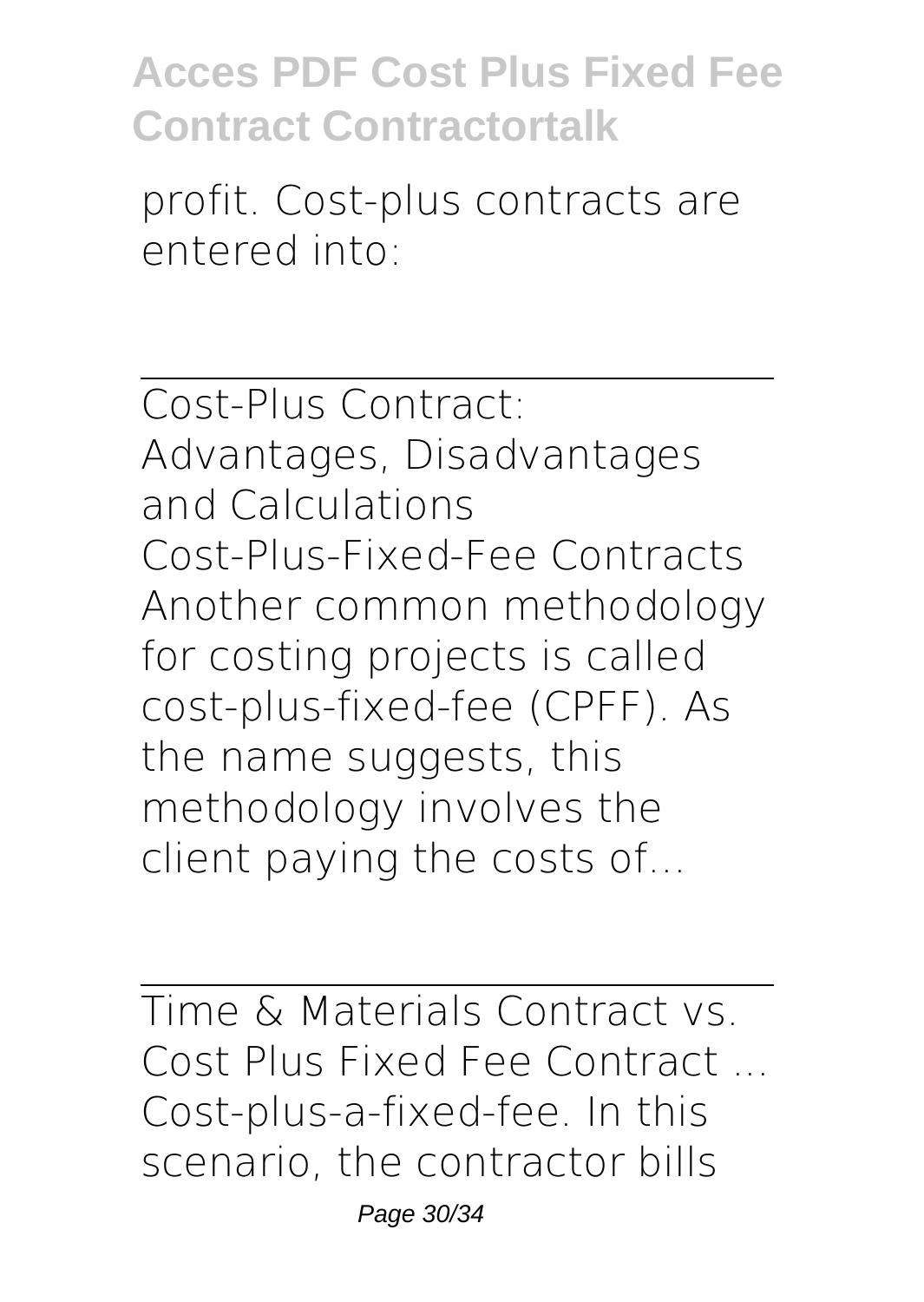profit. Cost-plus contracts are entered into:

Cost-Plus Contract: Advantages, Disadvantages and Calculations Cost-Plus-Fixed-Fee Contracts Another common methodology for costing projects is called cost-plus-fixed-fee (CPFF). As the name suggests, this methodology involves the client paying the costs of...

Time & Materials Contract vs. Cost Plus Fixed Fee Contract ... Cost-plus-a-fixed-fee. In this scenario, the contractor bills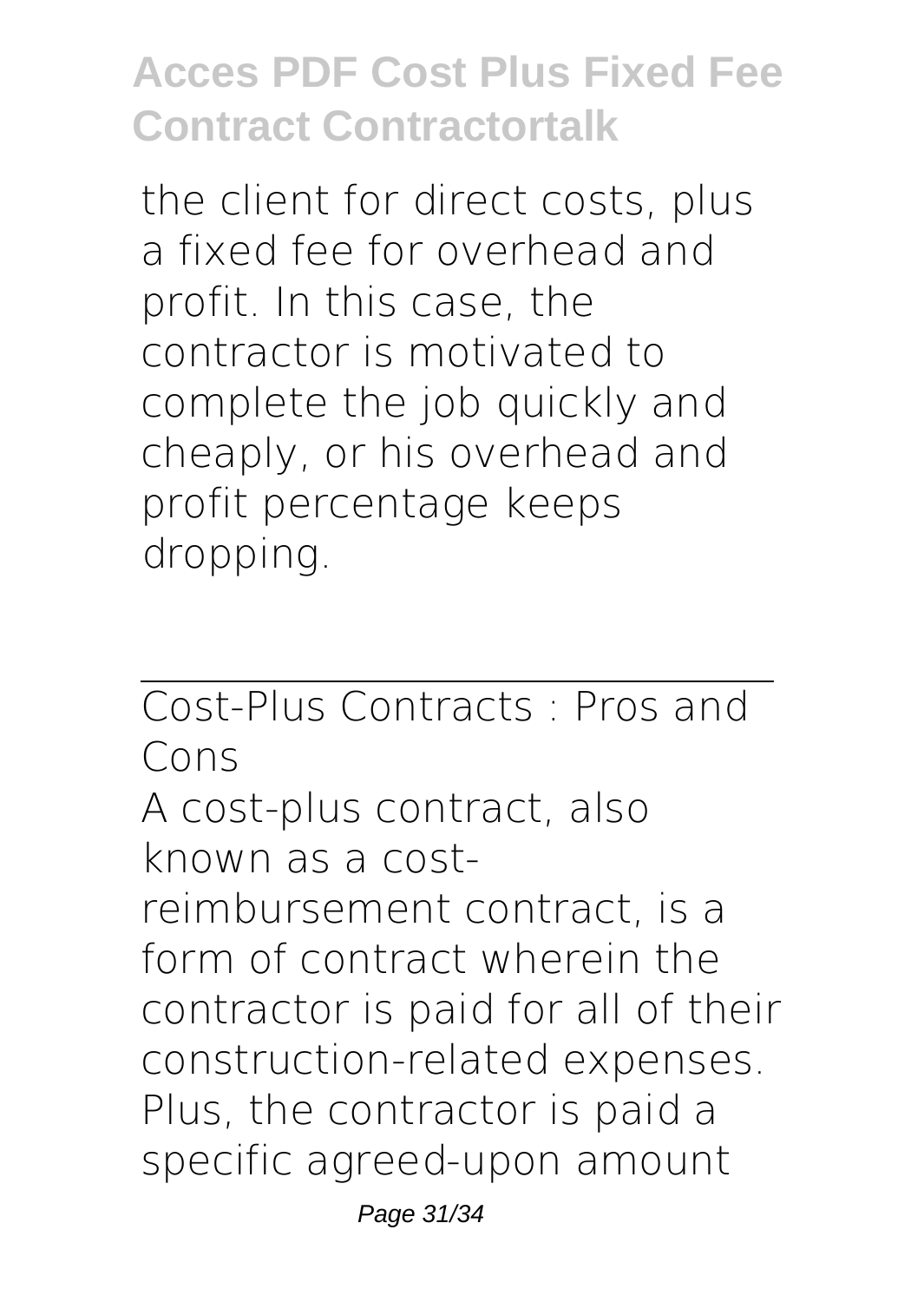the client for direct costs, plus a fixed fee for overhead and profit. In this case, the contractor is motivated to complete the job quickly and cheaply, or his overhead and profit percentage keeps dropping.

Cost-Plus Contracts : Pros and Cons A cost-plus contract, also known as a costreimbursement contract, is a form of contract wherein the contractor is paid for all of their construction-related expenses. Plus, the contractor is paid a specific agreed-upon amount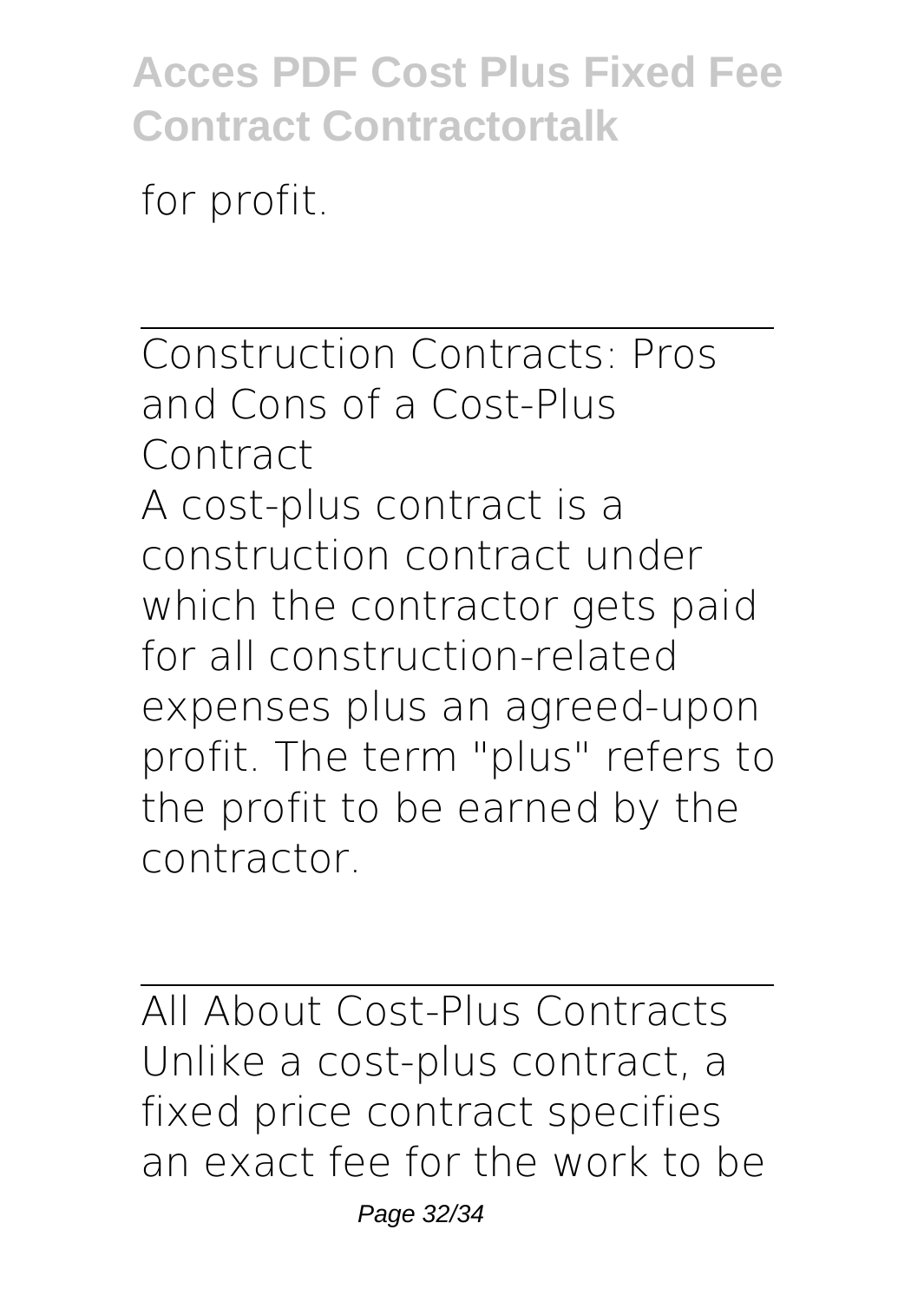for profit.

Construction Contracts: Pros and Cons of a Cost-Plus Contract A cost-plus contract is a construction contract under which the contractor gets paid for all construction-related expenses plus an agreed-upon profit. The term "plus" refers to the profit to be earned by the contractor.

All About Cost-Plus Contracts Unlike a cost-plus contract, a fixed price contract specifies an exact fee for the work to be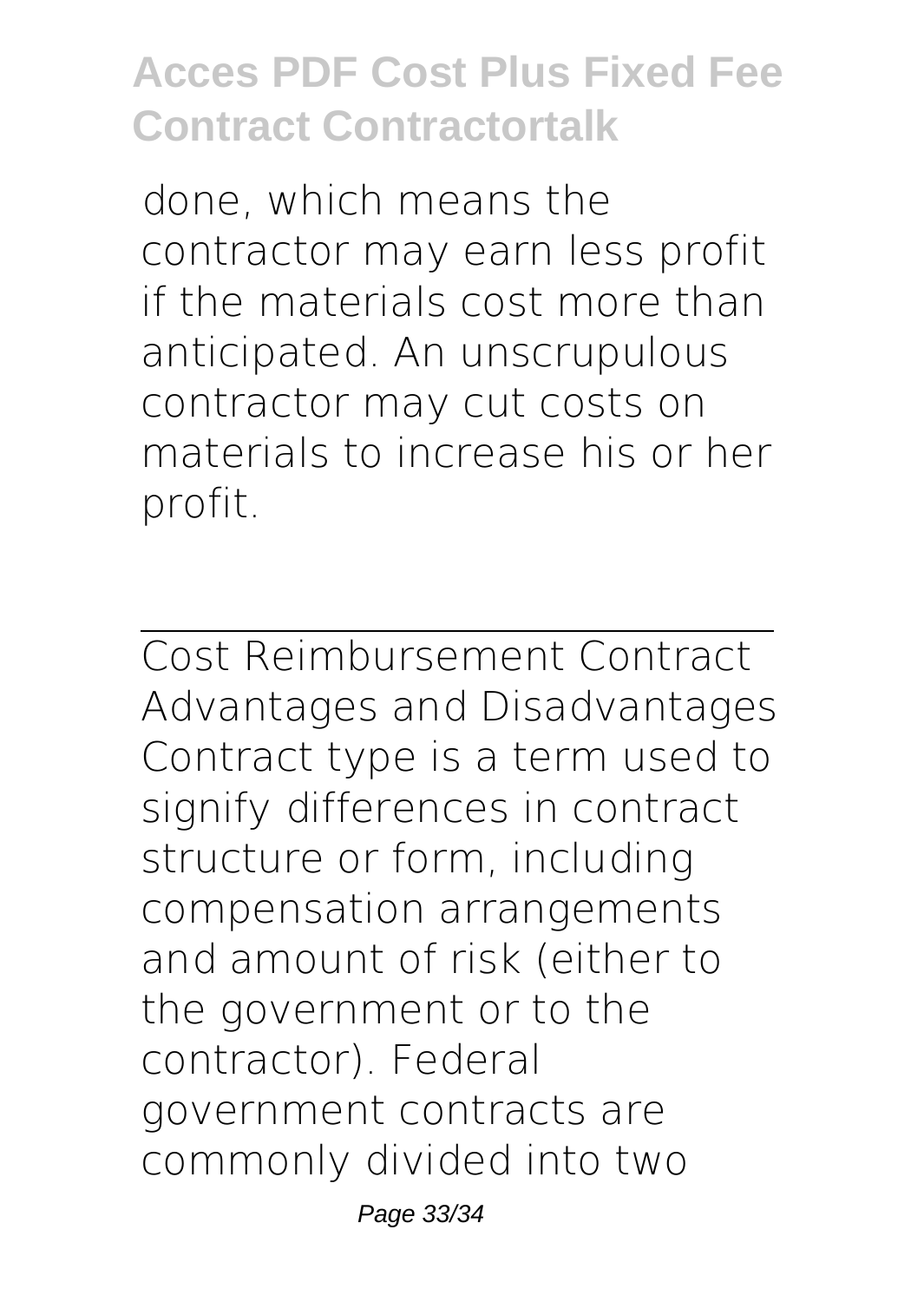done, which means the contractor may earn less profit if the materials cost more than anticipated. An unscrupulous contractor may cut costs on materials to increase his or her profit.

Cost Reimbursement Contract Advantages and Disadvantages Contract type is a term used to signify differences in contract structure or form, including compensation arrangements and amount of risk (either to the government or to the contractor). Federal government contracts are commonly divided into two